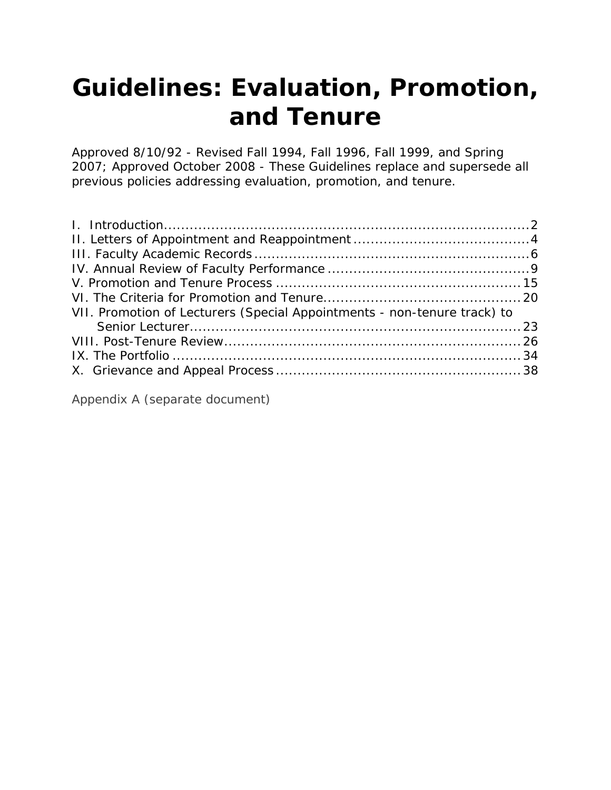*Approved 8/10/92 - Revised Fall 1994, Fall 1996, Fall 1999, and Spring 2007; Approved October 2008 - These Guidelines replace and supersede all previous policies addressing evaluation, promotion, and tenure.*

| VII. Promotion of Lecturers (Special Appointments - non-tenure track) to |  |
|--------------------------------------------------------------------------|--|
|                                                                          |  |
|                                                                          |  |
|                                                                          |  |
|                                                                          |  |

[Appendix A](http://www.unk.edu/academic_affairs/_files/faculty_handbook/rt-appendix-a.pdf) (separate document)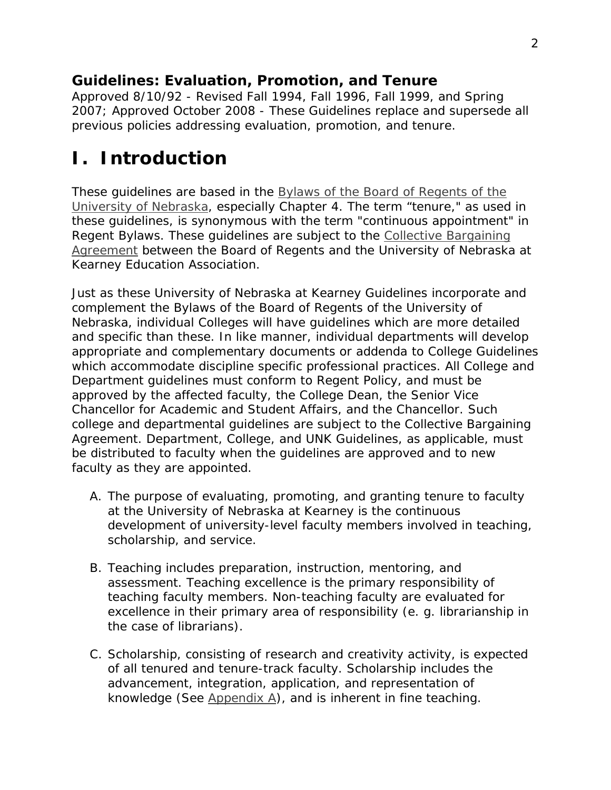*Approved 8/10/92 - Revised Fall 1994, Fall 1996, Fall 1999, and Spring 2007; Approved October 2008 - These Guidelines replace and supersede all previous policies addressing evaluation, promotion, and tenure.*

## <span id="page-1-0"></span>**I. Introduction**

These guidelines are based in the *[Bylaws of the Board of Regents of the](http://www.nebraska.edu/board/bylaws-policies-and-rules.html)  [University of Nebraska](http://www.nebraska.edu/board/bylaws-policies-and-rules.html)*, especially *Chapter 4*. The term "tenure," as used in these guidelines, is synonymous with the term "continuous appointment" in *Regent Bylaws*. These guidelines are subject to the [Collective Bargaining](www.unk.edu/academic_affairs/_files/faculty_handbook/cba_1719.pdf)  [Agreement](http://www.unk.edu/uploadedFiles/academicaffairs/factbook/UNKEA%20coll%20barg%202009-2011%20Final.pdf) between the Board of Regents and the University of Nebraska at Kearney Education Association.

Just as these University of Nebraska at Kearney Guidelines incorporate and complement the *Bylaws of the Board of Regents of the University of Nebraska*, individual Colleges will have guidelines which are more detailed and specific than these. In like manner, individual departments will develop appropriate and complementary documents or addenda to College Guidelines which accommodate discipline specific professional practices. All College and Department guidelines must conform to Regent Policy, and must be approved by the affected faculty, the College Dean, the Senior Vice Chancellor for Academic and Student Affairs, and the Chancellor. Such college and departmental guidelines are subject to the Collective Bargaining Agreement. Department, College, and UNK Guidelines, as applicable, must be distributed to faculty when the guidelines are approved and to new faculty as they are appointed.

- A. The purpose of evaluating, promoting, and granting tenure to faculty at the University of Nebraska at Kearney is the continuous development of university-level faculty members involved in teaching, scholarship, and service.
- B. Teaching includes preparation, instruction, mentoring, and assessment. Teaching excellence is the primary responsibility of teaching faculty members. Non-teaching faculty are evaluated for excellence in their primary area of responsibility (e. g. librarianship in the case of librarians).
- C. Scholarship, consisting of research and creativity activity, is expected of all tenured and tenure-track faculty. Scholarship includes the advancement, integration, application, and representation of knowledge (See [Appendix A\)](http://www.unk.edu/academic_affairs/_files/faculty_handbook/rt-appendix-a.pdf), and is inherent in fine teaching.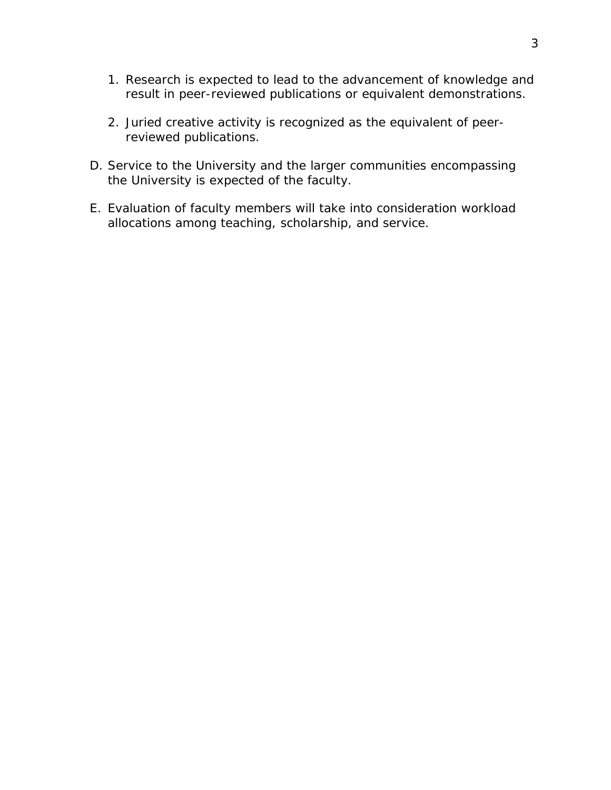- 1. Research is expected to lead to the advancement of knowledge and result in peer-reviewed publications or equivalent demonstrations.
- <span id="page-2-0"></span>2. Juried creative activity is recognized as the equivalent of peerreviewed publications.
- D. Service to the University and the larger communities encompassing the University is expected of the faculty.
- E. Evaluation of faculty members will take into consideration workload allocations among teaching, scholarship, and service.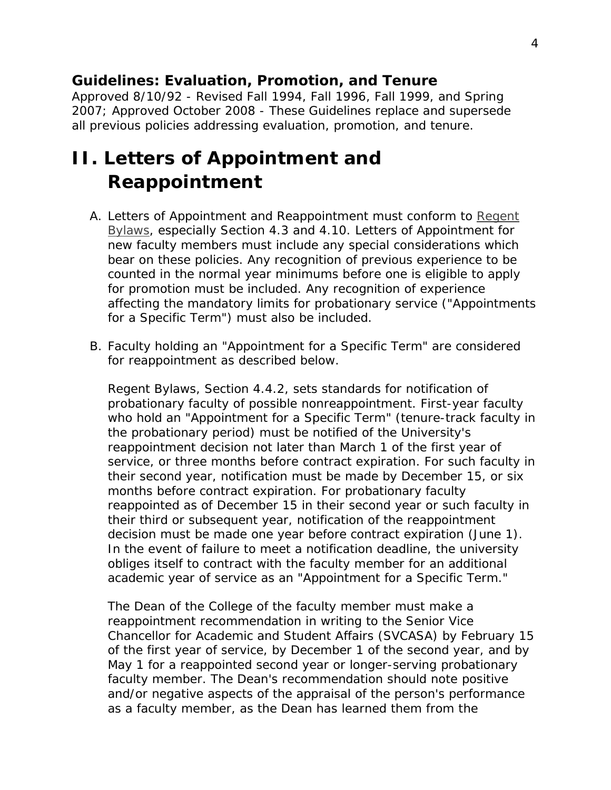*Approved 8/10/92 - Revised Fall 1994, Fall 1996, Fall 1999, and Spring 2007; Approved October 2008 - These Guidelines replace and supersede all previous policies addressing evaluation, promotion, and tenure.*

## <span id="page-3-0"></span>**II. Letters of Appointment and Reappointment**

- A. Letters of Appointment and Reappointment must conform to *[Regent](http://www.nebraska.edu/board/bylaws-policies-and-rules.html)  [Bylaws](http://www.nebraska.edu/board/bylaws-policies-and-rules.html)*, especially *Section 4.3* and *[4.10.](http://www.nebraska.edu/board/bylaws/4.10.htm)* Letters of Appointment for new faculty members must include any special considerations which bear on these policies. Any recognition of previous experience to be counted in the normal year minimums before one is eligible to apply for promotion must be included. Any recognition of experience affecting the mandatory limits for probationary service ("Appointments for a Specific Term") must also be included.
- B. Faculty holding an "Appointment for a Specific Term" are considered for reappointment as described below.

*Regent Bylaws*, *[Section 4.4.2](http://www.nebraska.edu/board/bylaws/4.4.2.htm)*, sets standards for notification of probationary faculty of possible nonreappointment. First-year faculty who hold an "Appointment for a Specific Term" (tenure-track faculty in the probationary period) must be notified of the University's reappointment decision not later than March 1 of the first year of service, or three months before contract expiration. For such faculty in their second year, notification must be made by December 15, or six months before contract expiration. For probationary faculty reappointed as of December 15 in their second year or such faculty in their third or subsequent year, notification of the reappointment decision must be made one year before contract expiration (June 1). In the event of failure to meet a notification deadline, the university obliges itself to contract with the faculty member for an additional academic year of service as an "Appointment for a Specific Term."

The Dean of the College of the faculty member must make a reappointment recommendation in writing to the Senior Vice Chancellor for Academic and Student Affairs (SVCASA) by February 15 of the first year of service, by December 1 of the second year, and by May 1 for a reappointed second year or longer-serving probationary faculty member. The Dean's recommendation should note positive and/or negative aspects of the appraisal of the person's performance as a faculty member, as the Dean has learned them from the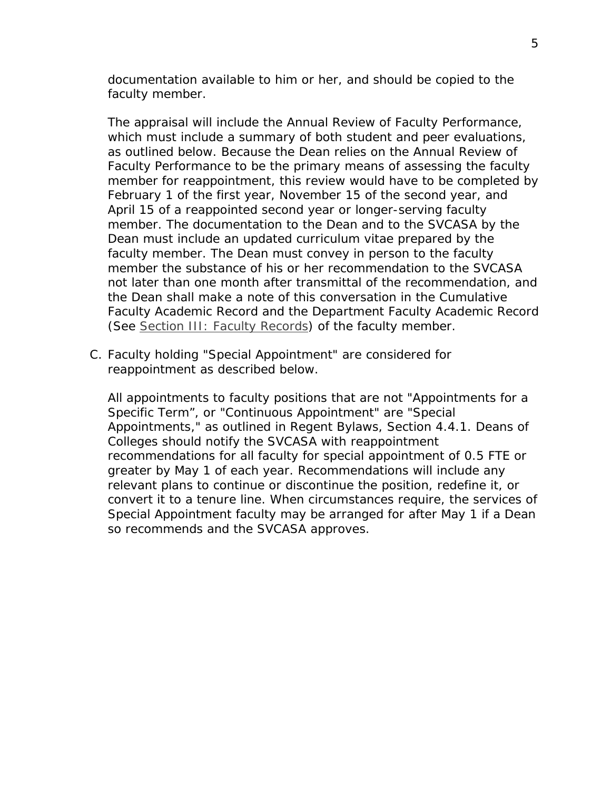documentation available to him or her, and should be copied to the faculty member.

The appraisal will include the Annual Review of Faculty Performance, which must include a summary of both student and peer evaluations, as outlined below. Because the Dean relies on the Annual Review of Faculty Performance to be the primary means of assessing the faculty member for reappointment, this review would have to be completed by February 1 of the first year, November 15 of the second year, and April 15 of a reappointed second year or longer-serving faculty member. The documentation to the Dean and to the SVCASA by the Dean must include an updated curriculum vitae prepared by the faculty member. The Dean must convey in person to the faculty member the substance of his or her recommendation to the SVCASA not later than one month after transmittal of the recommendation, and the Dean shall make a note of this conversation in the Cumulative Faculty Academic Record and the Department Faculty Academic Record (See [Section III: Faculty Records\)](#page-5-0) of the faculty member.

C. Faculty holding "Special Appointment" are considered for reappointment as described below.

All appointments to faculty positions that are not "Appointments for a Specific Term", or "Continuous Appointment" are "Special Appointments," as outlined in *Regent Bylaws, [Section 4.4.1](http://www.nebraska.edu/board/bylaws/4.4.1.htm)*. Deans of Colleges should notify the SVCASA with reappointment recommendations for all faculty for special appointment of 0.5 FTE or greater by May 1 of each year. Recommendations will include any relevant plans to continue or discontinue the position, redefine it, or convert it to a tenure line. When circumstances require, the services of Special Appointment faculty may be arranged for after May 1 if a Dean so recommends and the SVCASA approves.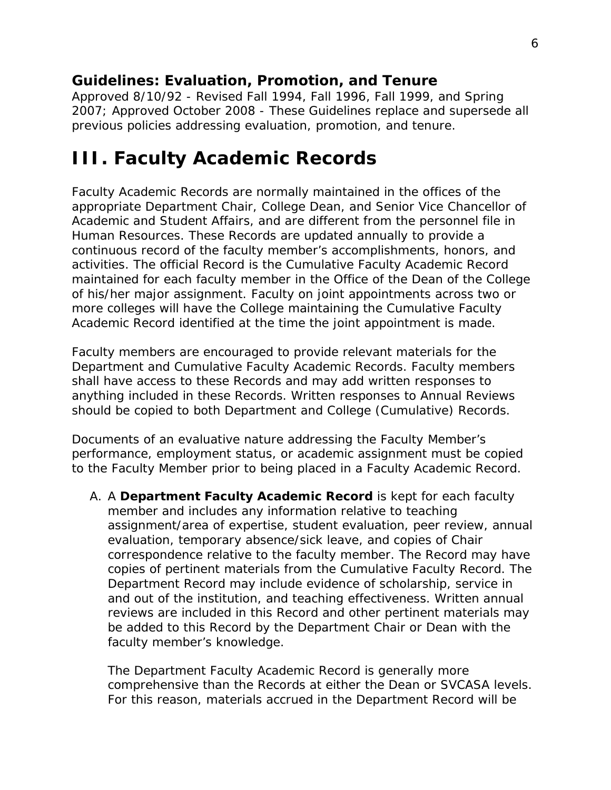*Approved 8/10/92 - Revised Fall 1994, Fall 1996, Fall 1999, and Spring 2007; Approved October 2008 - These Guidelines replace and supersede all previous policies addressing evaluation, promotion, and tenure.*

### <span id="page-5-0"></span>**III. Faculty Academic Records**

Faculty Academic Records are normally maintained in the offices of the appropriate Department Chair, College Dean, and Senior Vice Chancellor of Academic and Student Affairs, and are different from the personnel file in Human Resources. These Records are updated annually to provide a continuous record of the faculty member's accomplishments, honors, and activities. The official Record is the Cumulative Faculty Academic Record maintained for each faculty member in the Office of the Dean of the College of his/her major assignment. Faculty on joint appointments across two or more colleges will have the College maintaining the Cumulative Faculty Academic Record identified at the time the joint appointment is made.

Faculty members are encouraged to provide relevant materials for the Department and Cumulative Faculty Academic Records. Faculty members shall have access to these Records and may add written responses to anything included in these Records. Written responses to Annual Reviews should be copied to both Department and College (Cumulative) Records.

Documents of an evaluative nature addressing the Faculty Member's performance, employment status, or academic assignment must be copied to the Faculty Member prior to being placed in a Faculty Academic Record.

A. A **Department Faculty Academic Record** is kept for each faculty member and includes any information relative to teaching assignment/area of expertise, student evaluation, peer review, annual evaluation, temporary absence/sick leave, and copies of Chair correspondence relative to the faculty member. The Record may have copies of pertinent materials from the Cumulative Faculty Record. The Department Record may include evidence of scholarship, service in and out of the institution, and teaching effectiveness. Written annual reviews are included in this Record and other pertinent materials may be added to this Record by the Department Chair or Dean with the faculty member's knowledge.

The Department Faculty Academic Record is generally more comprehensive than the Records at either the Dean or SVCASA levels. For this reason, materials accrued in the Department Record will be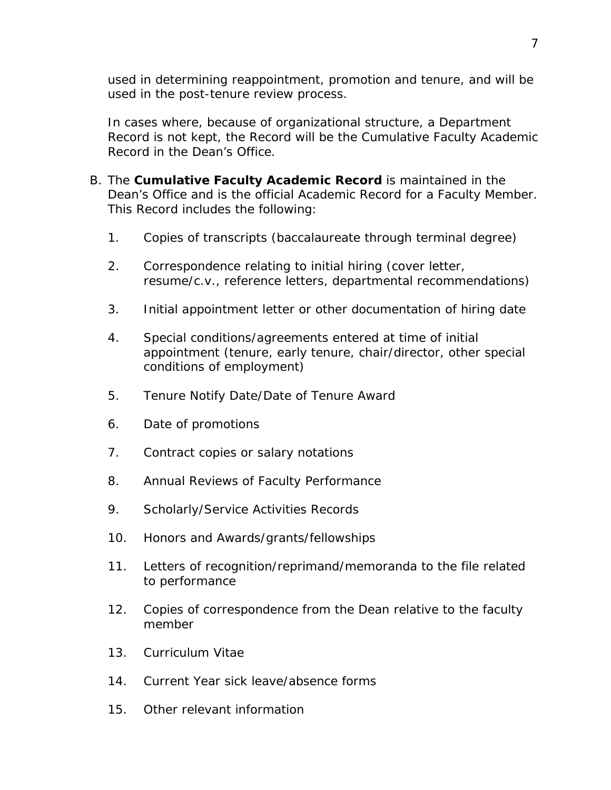used in determining reappointment, promotion and tenure, and will be used in the post-tenure review process.

In cases where, because of organizational structure, a Department Record is not kept, the Record will be the Cumulative Faculty Academic Record in the Dean's Office.

- B. The **Cumulative Faculty Academic Record** is maintained in the Dean's Office and is the official Academic Record for a Faculty Member. This Record includes the following:
	- 1. Copies of transcripts (baccalaureate through terminal degree)
	- 2. Correspondence relating to initial hiring (cover letter, resume/c.v., reference letters, departmental recommendations)
	- 3. Initial appointment letter or other documentation of hiring date
	- 4. Special conditions/agreements entered at time of initial appointment (tenure, early tenure, chair/director, other special conditions of employment)
	- 5. Tenure Notify Date/Date of Tenure Award
	- 6. Date of promotions
	- 7. Contract copies or salary notations
	- 8. Annual Reviews of Faculty Performance
	- 9. Scholarly/Service Activities Records
	- 10. Honors and Awards/grants/fellowships
	- 11. Letters of recognition/reprimand/memoranda to the file related to performance
	- 12. Copies of correspondence from the Dean relative to the faculty member
	- 13. Curriculum Vitae
	- 14. Current Year sick leave/absence forms
	- 15. Other relevant information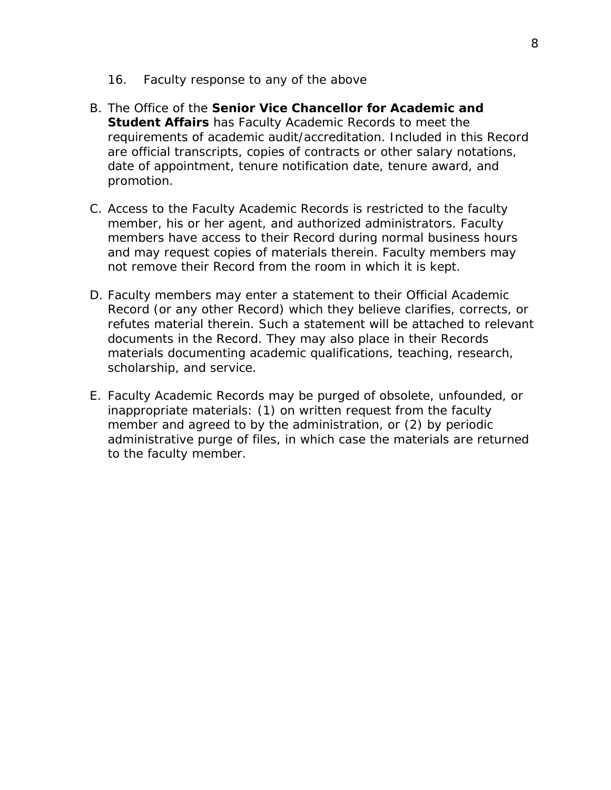- 16. Faculty response to any of the above
- B. The Office of the **Senior Vice Chancellor for Academic and Student Affairs** has Faculty Academic Records to meet the requirements of academic audit/accreditation. Included in this Record are official transcripts, copies of contracts or other salary notations, date of appointment, tenure notification date, tenure award, and promotion.
- C. Access to the Faculty Academic Records is restricted to the faculty member, his or her agent, and authorized administrators. Faculty members have access to their Record during normal business hours and may request copies of materials therein. Faculty members may not remove their Record from the room in which it is kept.
- D. Faculty members may enter a statement to their Official Academic Record (or any other Record) which they believe clarifies, corrects, or refutes material therein. Such a statement will be attached to relevant documents in the Record. They may also place in their Records materials documenting academic qualifications, teaching, research, scholarship, and service.
- E. Faculty Academic Records may be purged of obsolete, unfounded, or inappropriate materials: (1) on written request from the faculty member and agreed to by the administration, or (2) by periodic administrative purge of files, in which case the materials are returned to the faculty member.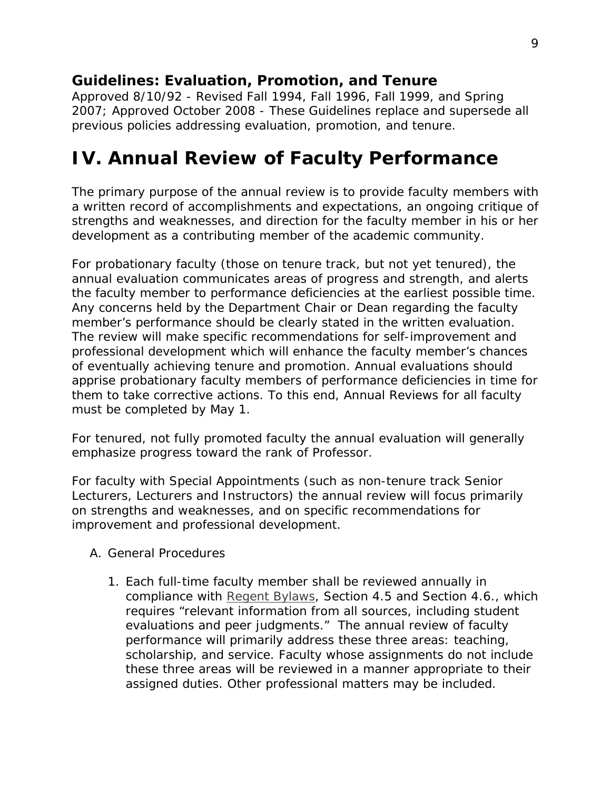*Approved 8/10/92 - Revised Fall 1994, Fall 1996, Fall 1999, and Spring 2007; Approved October 2008 - These Guidelines replace and supersede all previous policies addressing evaluation, promotion, and tenure.*

### <span id="page-8-0"></span>**IV. Annual Review of Faculty Performance**

The primary purpose of the annual review is to provide faculty members with a written record of accomplishments and expectations, an ongoing critique of strengths and weaknesses, and direction for the faculty member in his or her development as a contributing member of the academic community.

For probationary faculty (those on tenure track, but not yet tenured), the annual evaluation communicates areas of progress and strength, and alerts the faculty member to performance deficiencies at the earliest possible time. Any concerns held by the Department Chair or Dean regarding the faculty member's performance should be clearly stated in the written evaluation. The review will make specific recommendations for self-improvement and professional development which will enhance the faculty member's chances of eventually achieving tenure and promotion. Annual evaluations should apprise probationary faculty members of performance deficiencies in time for them to take corrective actions. To this end, Annual Reviews for all faculty must be completed by May 1.

For tenured, not fully promoted faculty the annual evaluation will generally emphasize progress toward the rank of Professor.

For faculty with Special Appointments (such as non-tenure track Senior Lecturers, Lecturers and Instructors) the annual review will focus primarily on strengths and weaknesses, and on specific recommendations for improvement and professional development.

- <span id="page-8-1"></span>A. General Procedures
	- 1. Each full-time faculty member shall be reviewed annually in compliance with *[Regent Bylaws,](http://www.nebraska.edu/board/bylaws-policies-and-rules.html) Section 4.5 and Section 4.6*., which requires "relevant information from all sources, including student evaluations and peer judgments." The annual review of faculty performance will primarily address these three areas: teaching, scholarship, and service. Faculty whose assignments do not include these three areas will be reviewed in a manner appropriate to their assigned duties. Other professional matters may be included.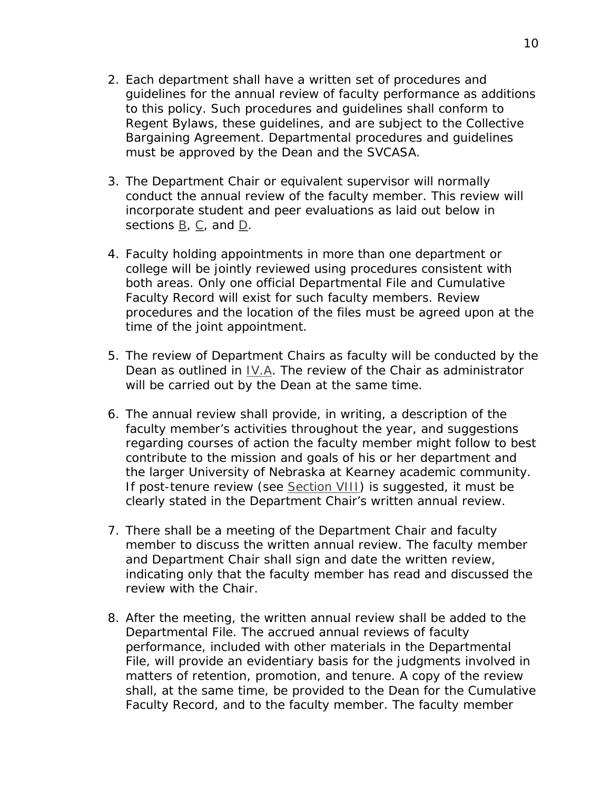- 2. Each department shall have a written set of procedures and guidelines for the annual review of faculty performance as additions to this policy. Such procedures and guidelines shall conform to *Regent Bylaws*, these guidelines, and are subject to the Collective Bargaining Agreement. Departmental procedures and guidelines must be approved by the Dean and the SVCASA.
- 3. The Department Chair or equivalent supervisor will normally conduct the annual review of the faculty member. This review will incorporate student and peer evaluations as laid out below in sections [B,](#page-10-0) [C,](#page-13-0) and [D.](#page-13-1)
- 4. Faculty holding appointments in more than one department or college will be jointly reviewed using procedures consistent with both areas. Only one official Departmental File and Cumulative Faculty Record will exist for such faculty members. Review procedures and the location of the files must be agreed upon at the time of the joint appointment.
- 5. The review of Department Chairs as faculty will be conducted by the Dean as outlined in [IV.A.](#page-8-1) The review of the Chair as administrator will be carried out by the Dean at the same time.
- 6. The annual review shall provide, in writing, a description of the faculty member's activities throughout the year, and suggestions regarding courses of action the faculty member might follow to best contribute to the mission and goals of his or her department and the larger University of Nebraska at Kearney academic community. If post-tenure review (see [Section VIII\)](#page-25-0) is suggested, it must be clearly stated in the Department Chair's written annual review.
- 7. There shall be a meeting of the Department Chair and faculty member to discuss the written annual review. The faculty member and Department Chair shall sign and date the written review, indicating only that the faculty member has read and discussed the review with the Chair.
- 8. After the meeting, the written annual review shall be added to the Departmental File. The accrued annual reviews of faculty performance, included with other materials in the Departmental File, will provide an evidentiary basis for the judgments involved in matters of retention, promotion, and tenure. A copy of the review shall, at the same time, be provided to the Dean for the Cumulative Faculty Record, and to the faculty member. The faculty member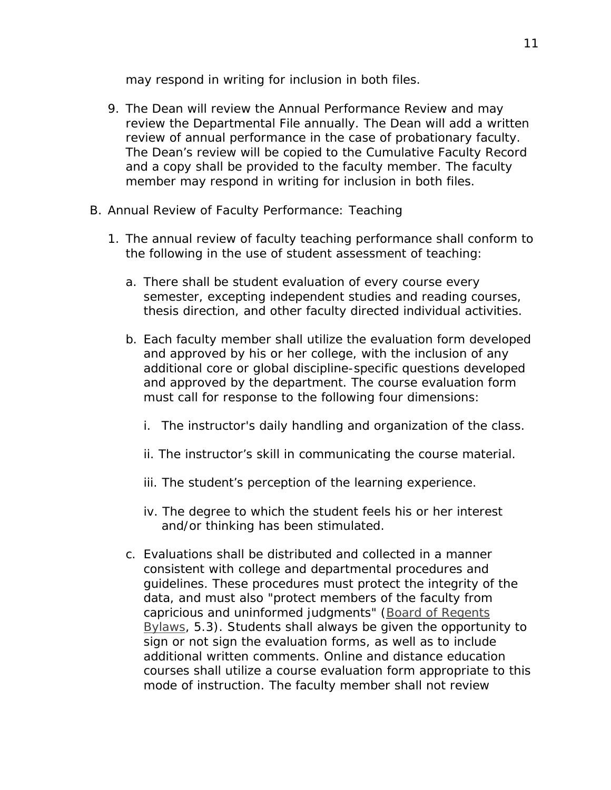may respond in writing for inclusion in both files.

- 9. The Dean will review the Annual Performance Review and may review the Departmental File annually. The Dean will add a written review of annual performance in the case of probationary faculty. The Dean's review will be copied to the Cumulative Faculty Record and a copy shall be provided to the faculty member. The faculty member may respond in writing for inclusion in both files.
- <span id="page-10-0"></span>B. Annual Review of Faculty Performance: Teaching
	- 1. The annual review of faculty teaching performance shall conform to the following in the use of student assessment of teaching:
		- a. There shall be student evaluation of every course every semester, excepting independent studies and reading courses, thesis direction, and other faculty directed individual activities.
		- b. Each faculty member shall utilize the evaluation form developed and approved by his or her college, with the inclusion of any additional core or global discipline-specific questions developed and approved by the department. The course evaluation form must call for response to the following four dimensions:
			- i. The instructor's daily handling and organization of the class.
			- ii. The instructor's skill in communicating the course material.
			- iii. The student's perception of the learning experience.
			- iv. The degree to which the student feels his or her interest and/or thinking has been stimulated.
		- c. Evaluations shall be distributed and collected in a manner consistent with college and departmental procedures and guidelines. These procedures must protect the integrity of the data, and must also "protect members of the faculty from capricious and uninformed judgments" (*[Board of Regents](http://www.nebraska.edu/board/bylaws-policies-and-rules.html)  [Bylaws,](http://www.nebraska.edu/board/bylaws-policies-and-rules.html) 5.3*). Students shall always be given the opportunity to sign or not sign the evaluation forms, as well as to include additional written comments. Online and distance education courses shall utilize a course evaluation form appropriate to this mode of instruction. The faculty member shall not review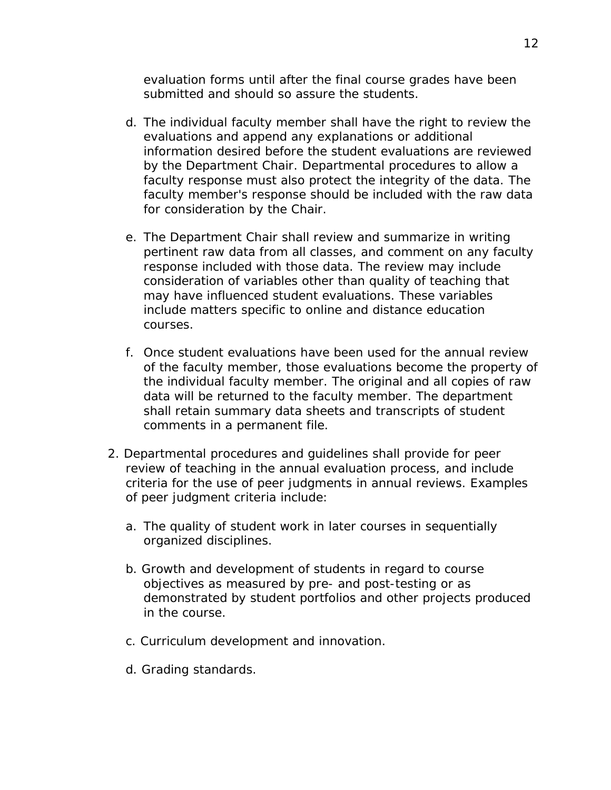evaluation forms until after the final course grades have been submitted and should so assure the students.

- d. The individual faculty member shall have the right to review the evaluations and append any explanations or additional information desired before the student evaluations are reviewed by the Department Chair. Departmental procedures to allow a faculty response must also protect the integrity of the data. The faculty member's response should be included with the raw data for consideration by the Chair.
- e. The Department Chair shall review and summarize in writing pertinent raw data from all classes, and comment on any faculty response included with those data. The review may include consideration of variables other than quality of teaching that may have influenced student evaluations. These variables include matters specific to online and distance education courses.
- f. Once student evaluations have been used for the annual review of the faculty member, those evaluations become the property of the individual faculty member. The original and all copies of raw data will be returned to the faculty member. The department shall retain summary data sheets and transcripts of student comments in a permanent file.
- 2. Departmental procedures and guidelines shall provide for peer review of teaching in the annual evaluation process, and include criteria for the use of peer judgments in annual reviews. Examples of peer judgment criteria include:
	- a. The quality of student work in later courses in sequentially organized disciplines.
	- b. Growth and development of students in regard to course objectives as measured by pre- and post-testing or as demonstrated by student portfolios and other projects produced in the course.
	- c. Curriculum development and innovation.
	- d. Grading standards.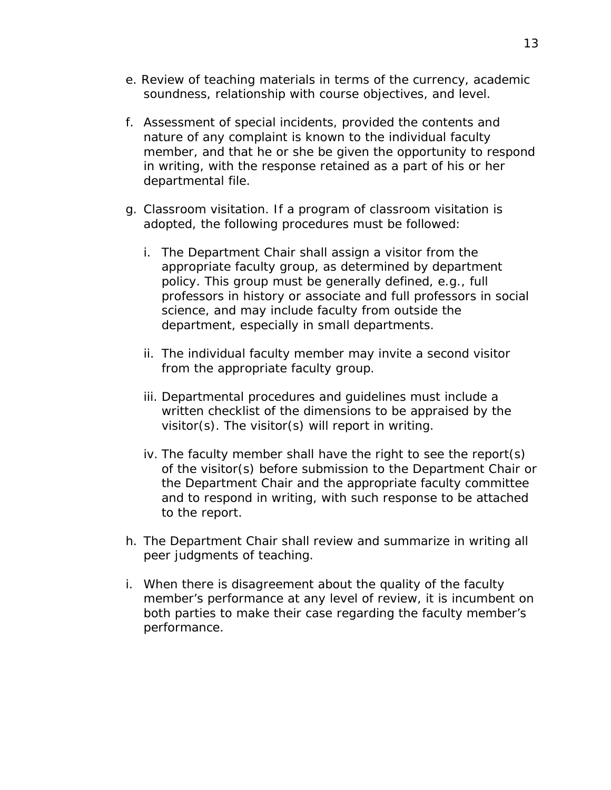- e. Review of teaching materials in terms of the currency, academic soundness, relationship with course objectives, and level.
- f. Assessment of special incidents, provided the contents and nature of any complaint is known to the individual faculty member, and that he or she be given the opportunity to respond in writing, with the response retained as a part of his or her departmental file.
- g. Classroom visitation. If a program of classroom visitation is adopted, the following procedures must be followed:
	- i. The Department Chair shall assign a visitor from the appropriate faculty group, as determined by department policy. This group must be generally defined, e.g., full professors in history or associate and full professors in social science, and may include faculty from outside the department, especially in small departments.
	- ii. The individual faculty member may invite a second visitor from the appropriate faculty group.
	- iii. Departmental procedures and guidelines must include a written checklist of the dimensions to be appraised by the visitor(s). The visitor(s) will report in writing.
	- iv. The faculty member shall have the right to see the report(s) of the visitor(s) before submission to the Department Chair or the Department Chair and the appropriate faculty committee and to respond in writing, with such response to be attached to the report.
- h. The Department Chair shall review and summarize in writing all peer judgments of teaching.
- i. When there is disagreement about the quality of the faculty member's performance at any level of review, it is incumbent on both parties to make their case regarding the faculty member's performance.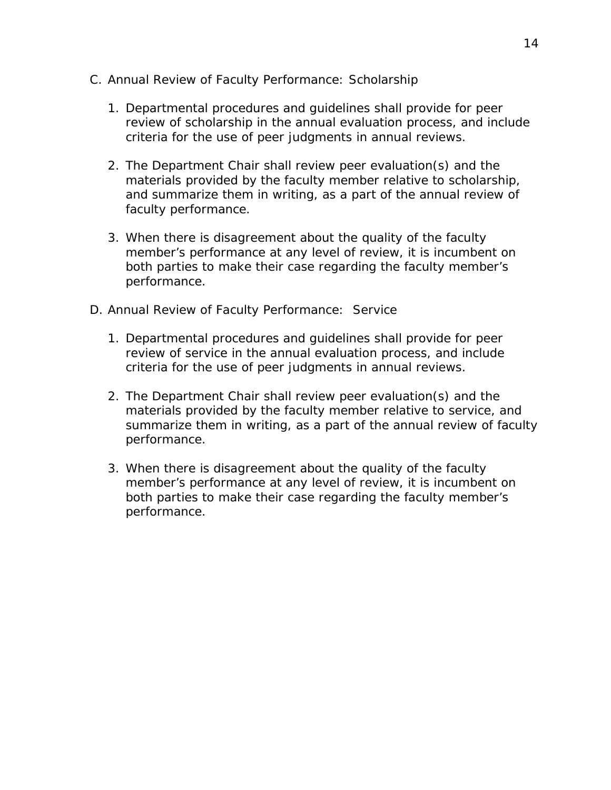- <span id="page-13-0"></span>C. Annual Review of Faculty Performance: Scholarship
	- 1. Departmental procedures and guidelines shall provide for peer review of scholarship in the annual evaluation process, and include criteria for the use of peer judgments in annual reviews.
	- 2. The Department Chair shall review peer evaluation(s) and the materials provided by the faculty member relative to scholarship, and summarize them in writing, as a part of the annual review of faculty performance.
	- 3. When there is disagreement about the quality of the faculty member's performance at any level of review, it is incumbent on both parties to make their case regarding the faculty member's performance.
- <span id="page-13-1"></span>D. Annual Review of Faculty Performance: Service
	- 1. Departmental procedures and guidelines shall provide for peer review of service in the annual evaluation process, and include criteria for the use of peer judgments in annual reviews.
	- 2. The Department Chair shall review peer evaluation(s) and the materials provided by the faculty member relative to service, and summarize them in writing, as a part of the annual review of faculty performance.
	- 3. When there is disagreement about the quality of the faculty member's performance at any level of review, it is incumbent on both parties to make their case regarding the faculty member's performance.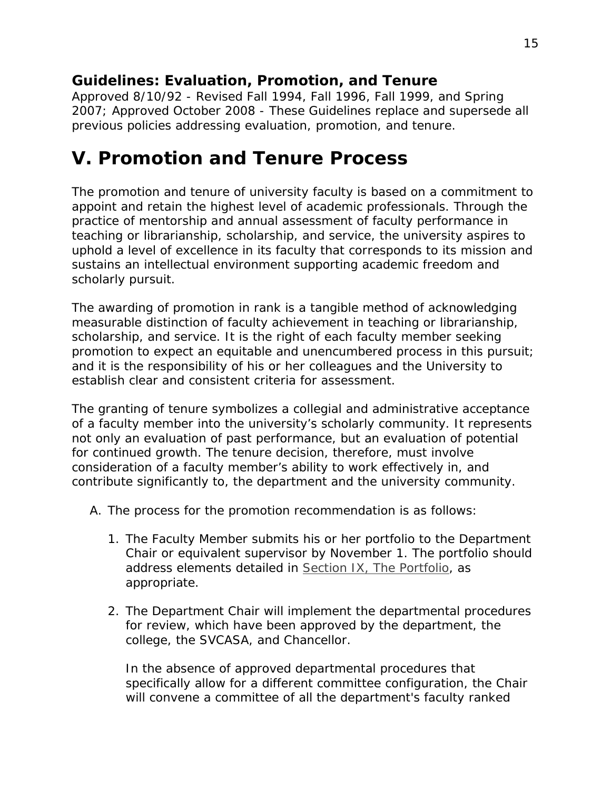*Approved 8/10/92 - Revised Fall 1994, Fall 1996, Fall 1999, and Spring 2007; Approved October 2008 - These Guidelines replace and supersede all previous policies addressing evaluation, promotion, and tenure.*

### <span id="page-14-0"></span>**V. Promotion and Tenure Process**

The promotion and tenure of university faculty is based on a commitment to appoint and retain the highest level of academic professionals. Through the practice of mentorship and annual assessment of faculty performance in teaching or librarianship, scholarship, and service, the university aspires to uphold a level of excellence in its faculty that corresponds to its mission and sustains an intellectual environment supporting academic freedom and scholarly pursuit.

The awarding of promotion in rank is a tangible method of acknowledging measurable distinction of faculty achievement in teaching or librarianship, scholarship, and service. It is the right of each faculty member seeking promotion to expect an equitable and unencumbered process in this pursuit; and it is the responsibility of his or her colleagues and the University to establish clear and consistent criteria for assessment.

The granting of tenure symbolizes a collegial and administrative acceptance of a faculty member into the university's scholarly community. It represents not only an evaluation of past performance, but an evaluation of potential for continued growth. The tenure decision, therefore, must involve consideration of a faculty member's ability to work effectively in, and contribute significantly to, the department and the university community.

- A. The process for the promotion recommendation is as follows:
	- 1. The Faculty Member submits his or her portfolio to the Department Chair or equivalent supervisor by November 1. The portfolio should address elements detailed in [Section IX, The Portfolio,](#page-33-0) as appropriate.
	- 2. The Department Chair will implement the departmental procedures for review, which have been approved by the department, the college, the SVCASA, and Chancellor.

In the absence of approved departmental procedures that specifically allow for a different committee configuration, the Chair will convene a committee of all the department's faculty ranked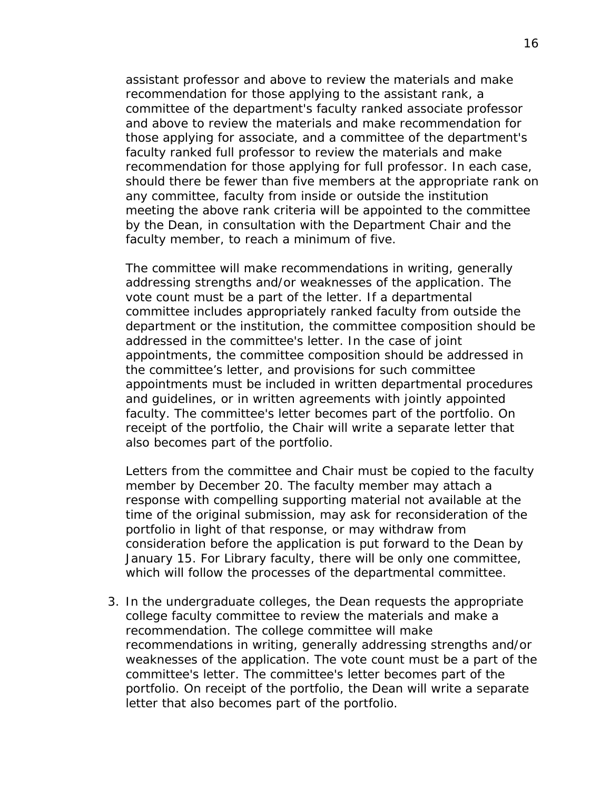assistant professor and above to review the materials and make recommendation for those applying to the assistant rank, a committee of the department's faculty ranked associate professor and above to review the materials and make recommendation for those applying for associate, and a committee of the department's faculty ranked full professor to review the materials and make recommendation for those applying for full professor. In each case, should there be fewer than five members at the appropriate rank on any committee, faculty from inside or outside the institution meeting the above rank criteria will be appointed to the committee by the Dean, in consultation with the Department Chair and the faculty member, to reach a minimum of five.

The committee will make recommendations in writing, generally addressing strengths and/or weaknesses of the application. The vote count must be a part of the letter. If a departmental committee includes appropriately ranked faculty from outside the department or the institution, the committee composition should be addressed in the committee's letter. In the case of joint appointments, the committee composition should be addressed in the committee's letter, and provisions for such committee appointments must be included in written departmental procedures and guidelines, or in written agreements with jointly appointed faculty. The committee's letter becomes part of the portfolio. On receipt of the portfolio, the Chair will write a separate letter that also becomes part of the portfolio.

Letters from the committee and Chair must be copied to the faculty member by December 20. The faculty member may attach a response with compelling supporting material not available at the time of the original submission, may ask for reconsideration of the portfolio in light of that response, or may withdraw from consideration before the application is put forward to the Dean by January 15. For Library faculty, there will be only one committee, which will follow the processes of the departmental committee.

3. In the undergraduate colleges, the Dean requests the appropriate college faculty committee to review the materials and make a recommendation. The college committee will make recommendations in writing, generally addressing strengths and/or weaknesses of the application. The vote count must be a part of the committee's letter. The committee's letter becomes part of the portfolio. On receipt of the portfolio, the Dean will write a separate letter that also becomes part of the portfolio.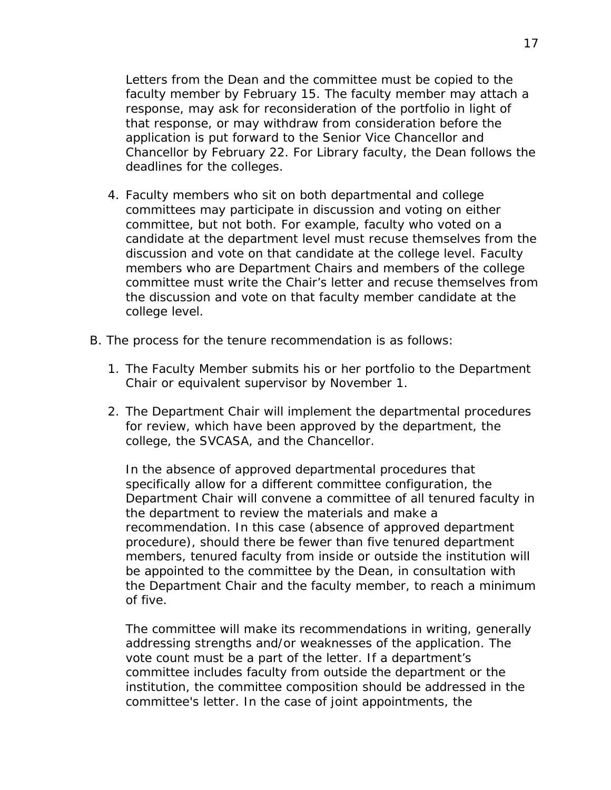Letters from the Dean and the committee must be copied to the faculty member by February 15. The faculty member may attach a response, may ask for reconsideration of the portfolio in light of that response, or may withdraw from consideration before the application is put forward to the Senior Vice Chancellor and Chancellor by February 22. For Library faculty, the Dean follows the deadlines for the colleges.

- 4. Faculty members who sit on both departmental and college committees may participate in discussion and voting on either committee, but not both. For example, faculty who voted on a candidate at the department level must recuse themselves from the discussion and vote on that candidate at the college level. Faculty members who are Department Chairs and members of the college committee must write the Chair's letter and recuse themselves from the discussion and vote on that faculty member candidate at the college level.
- B. The process for the tenure recommendation is as follows:
	- 1. The Faculty Member submits his or her portfolio to the Department Chair or equivalent supervisor by November 1.
	- 2. The Department Chair will implement the departmental procedures for review, which have been approved by the department, the college, the SVCASA, and the Chancellor.

In the absence of approved departmental procedures that specifically allow for a different committee configuration, the Department Chair will convene a committee of all tenured faculty in the department to review the materials and make a recommendation. In this case (absence of approved department procedure), should there be fewer than five tenured department members, tenured faculty from inside or outside the institution will be appointed to the committee by the Dean, in consultation with the Department Chair and the faculty member, to reach a minimum of five.

The committee will make its recommendations in writing, generally addressing strengths and/or weaknesses of the application. The vote count must be a part of the letter. If a department's committee includes faculty from outside the department or the institution, the committee composition should be addressed in the committee's letter. In the case of joint appointments, the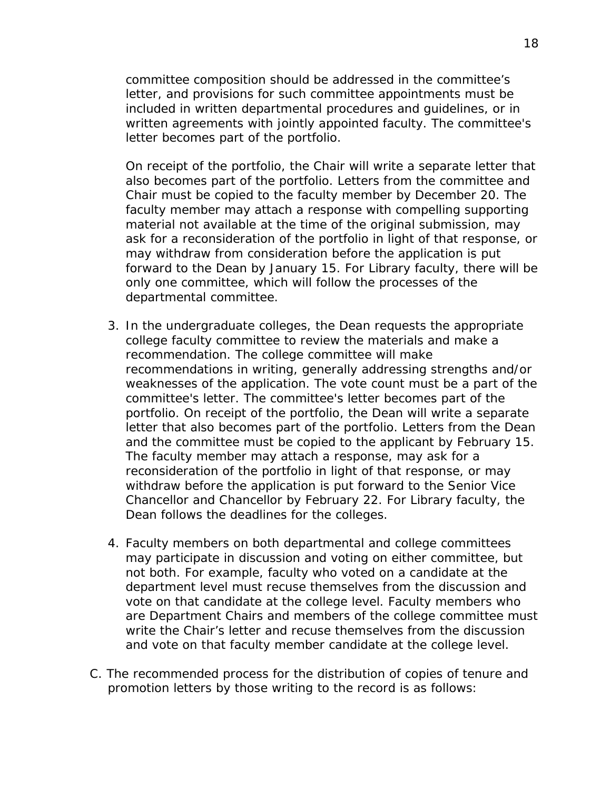committee composition should be addressed in the committee's letter, and provisions for such committee appointments must be included in written departmental procedures and guidelines, or in written agreements with jointly appointed faculty. The committee's letter becomes part of the portfolio.

On receipt of the portfolio, the Chair will write a separate letter that also becomes part of the portfolio. Letters from the committee and Chair must be copied to the faculty member by December 20. The faculty member may attach a response with compelling supporting material not available at the time of the original submission, may ask for a reconsideration of the portfolio in light of that response, or may withdraw from consideration before the application is put forward to the Dean by January 15. For Library faculty, there will be only one committee, which will follow the processes of the departmental committee.

- 3. In the undergraduate colleges, the Dean requests the appropriate college faculty committee to review the materials and make a recommendation. The college committee will make recommendations in writing, generally addressing strengths and/or weaknesses of the application. The vote count must be a part of the committee's letter. The committee's letter becomes part of the portfolio. On receipt of the portfolio, the Dean will write a separate letter that also becomes part of the portfolio. Letters from the Dean and the committee must be copied to the applicant by February 15. The faculty member may attach a response, may ask for a reconsideration of the portfolio in light of that response, or may withdraw before the application is put forward to the Senior Vice Chancellor and Chancellor by February 22. For Library faculty, the Dean follows the deadlines for the colleges.
- 4. Faculty members on both departmental and college committees may participate in discussion and voting on either committee, but not both. For example, faculty who voted on a candidate at the department level must recuse themselves from the discussion and vote on that candidate at the college level. Faculty members who are Department Chairs and members of the college committee must write the Chair's letter and recuse themselves from the discussion and vote on that faculty member candidate at the college level.
- C. The recommended process for the distribution of copies of tenure and promotion letters by those writing to the record is as follows: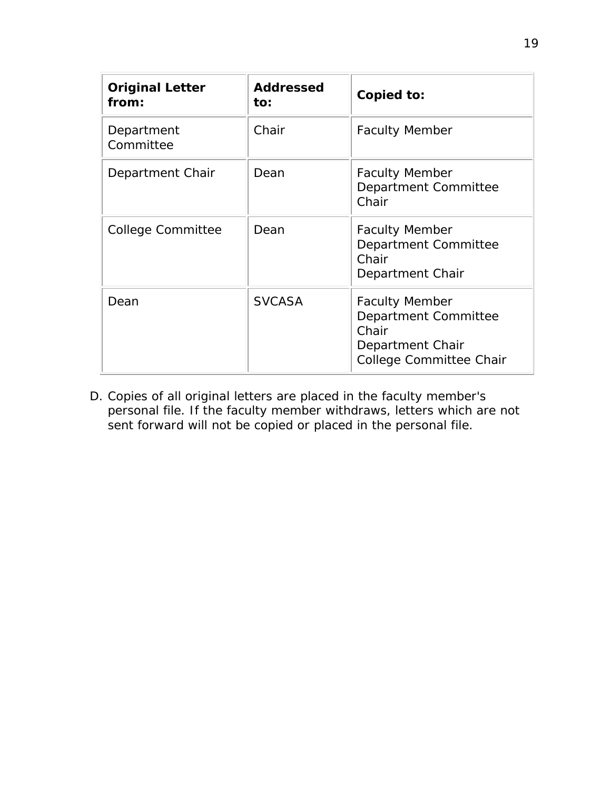| <b>Original Letter</b><br>from: | <b>Addressed</b><br>to: | Copied to:                                                                                            |
|---------------------------------|-------------------------|-------------------------------------------------------------------------------------------------------|
| Department<br>Committee         | Chair                   | <b>Faculty Member</b>                                                                                 |
| Department Chair                | Dean                    | <b>Faculty Member</b><br>Department Committee<br>Chair                                                |
| <b>College Committee</b>        | Dean                    | <b>Faculty Member</b><br>Department Committee<br>Chair<br>Department Chair                            |
| Dean                            | <b>SVCASA</b>           | <b>Faculty Member</b><br>Department Committee<br>Chair<br>Department Chair<br>College Committee Chair |

D. Copies of all original letters are placed in the faculty member's personal file. If the faculty member withdraws, letters which are not sent forward will not be copied or placed in the personal file.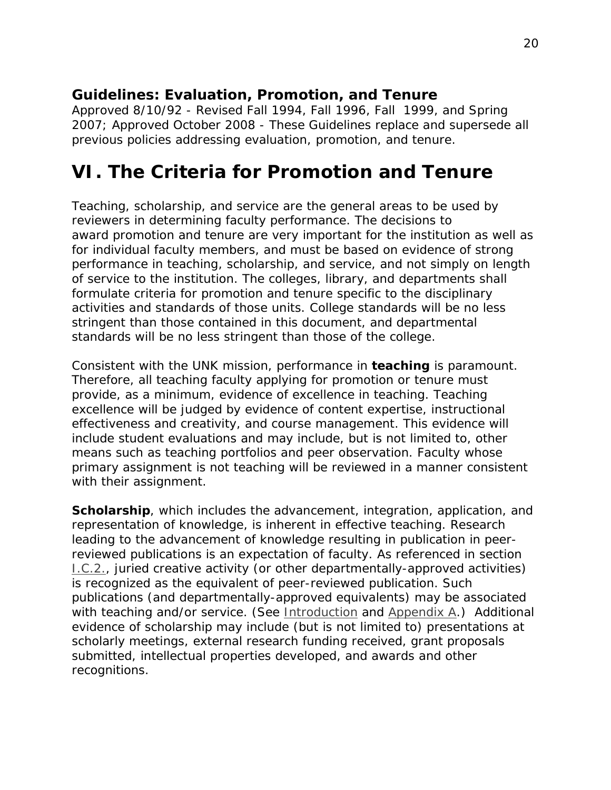*Approved 8/10/92 - Revised Fall 1994, Fall 1996, Fall 1999, and Spring 2007; Approved October 2008 - These Guidelines replace and supersede all previous policies addressing evaluation, promotion, and tenure.*

### <span id="page-19-0"></span>**VI. The Criteria for Promotion and Tenure**

Teaching, scholarship, and service are the general areas to be used by reviewers in determining faculty performance. The decisions to award promotion and tenure are very important for the institution as well as for individual faculty members, and must be based on evidence of strong performance in teaching, scholarship, and service, and not simply on length of service to the institution. The colleges, library, and departments shall formulate criteria for promotion and tenure specific to the disciplinary activities and standards of those units. College standards will be no less stringent than those contained in this document, and departmental standards will be no less stringent than those of the college.

Consistent with the UNK mission, performance in **teaching** is paramount. Therefore, all teaching faculty applying for promotion or tenure must provide, as a minimum, evidence of excellence in teaching. Teaching excellence will be judged by evidence of content expertise, instructional effectiveness and creativity, and course management. This evidence will include student evaluations and may include, but is not limited to, other means such as teaching portfolios and peer observation. Faculty whose primary assignment is not teaching will be reviewed in a manner consistent with their assignment.

**Scholarship**, which includes the advancement, integration, application, and representation of knowledge, is inherent in effective teaching. Research leading to the advancement of knowledge resulting in publication in peerreviewed publications is an expectation of faculty. As referenced in section [I.C.2.,](#page-2-0) juried creative activity (or other departmentally-approved activities) is recognized as the equivalent of peer-reviewed publication. Such publications (and departmentally-approved equivalents) may be associated with teaching and/or service. (See <u>Introduction</u> and [Appendix](http://www.unk.edu/academic_affairs/_files/faculty_handbook/rt-appendix-a.pdf) A.) Additional evidence of scholarship may include (but is not limited to) presentations at scholarly meetings, external research funding received, grant proposals submitted, intellectual properties developed, and awards and other recognitions.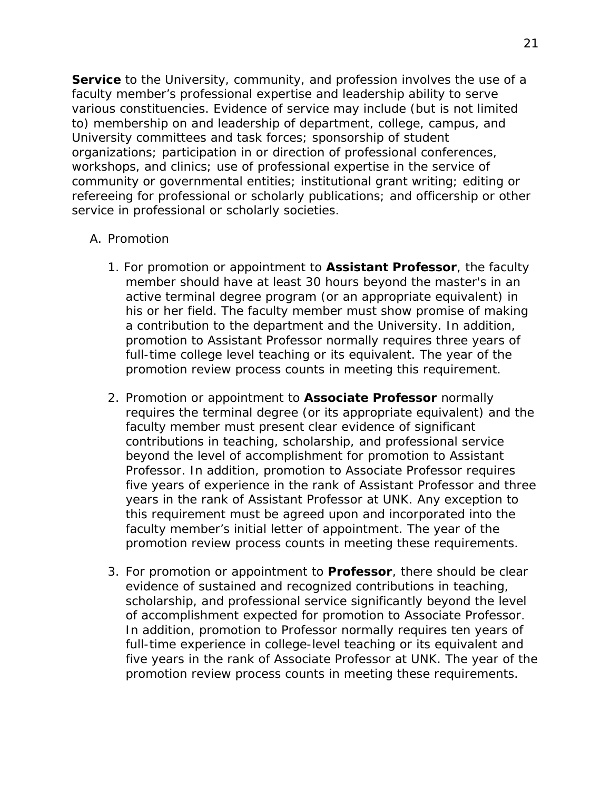**Service** to the University, community, and profession involves the use of a faculty member's professional expertise and leadership ability to serve various constituencies. Evidence of service may include (but is not limited to) membership on and leadership of department, college, campus, and University committees and task forces; sponsorship of student organizations; participation in or direction of professional conferences, workshops, and clinics; use of professional expertise in the service of community or governmental entities; institutional grant writing; editing or refereeing for professional or scholarly publications; and officership or other service in professional or scholarly societies.

#### <span id="page-20-0"></span>A. Promotion

- 1. For promotion or appointment to **Assistant Professor**, the faculty member should have at least 30 hours beyond the master's in an active terminal degree program (or an appropriate equivalent) in his or her field. The faculty member must show promise of making a contribution to the department and the University. In addition, promotion to Assistant Professor normally requires three years of full-time college level teaching or its equivalent. The year of the promotion review process counts in meeting this requirement.
- 2. Promotion or appointment to **Associate Professor** normally requires the terminal degree (or its appropriate equivalent) and the faculty member must present clear evidence of significant contributions in teaching, scholarship, and professional service beyond the level of accomplishment for promotion to Assistant Professor. In addition, promotion to Associate Professor requires five years of experience in the rank of Assistant Professor and three years in the rank of Assistant Professor at UNK. Any exception to this requirement must be agreed upon and incorporated into the faculty member's initial letter of appointment. The year of the promotion review process counts in meeting these requirements.
- 3. For promotion or appointment to **Professor**, there should be clear evidence of sustained and recognized contributions in teaching, scholarship, and professional service significantly beyond the level of accomplishment expected for promotion to Associate Professor. In addition, promotion to Professor normally requires ten years of full-time experience in college-level teaching or its equivalent and five years in the rank of Associate Professor at UNK. The year of the promotion review process counts in meeting these requirements.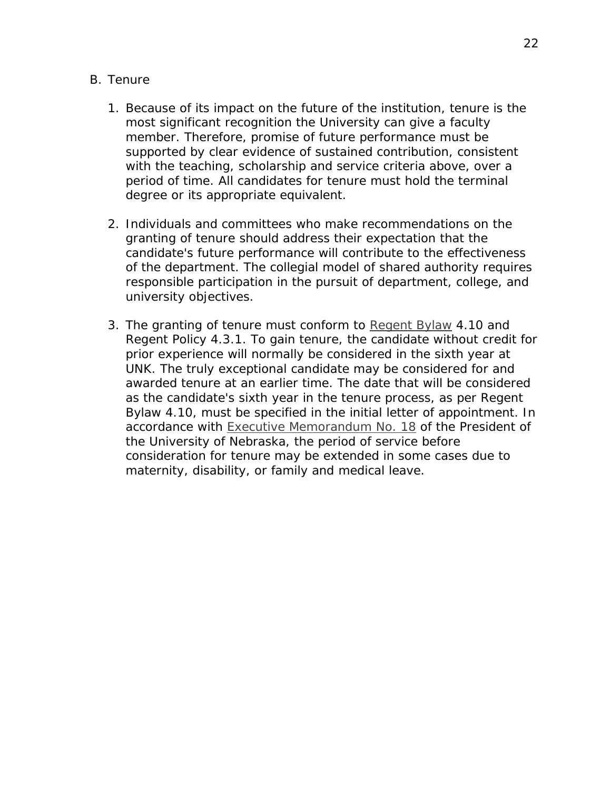#### B. Tenure

- 1. Because of its impact on the future of the institution, tenure is the most significant recognition the University can give a faculty member. Therefore, promise of future performance must be supported by clear evidence of sustained contribution, consistent with the teaching, scholarship and service criteria above, over a period of time. All candidates for tenure must hold the terminal degree or its appropriate equivalent.
- 2. Individuals and committees who make recommendations on the granting of tenure should address their expectation that the candidate's future performance will contribute to the effectiveness of the department. The collegial model of shared authority requires responsible participation in the pursuit of department, college, and university objectives.
- 3. The granting of tenure must conform to *[Regent](http://www.nebraska.edu/board/bylaws-policies-and-rules.html) Bylaw [4.10](http://www.nebraska.edu/board/bylaws/4.10.htm)* and *Regent Policy 4.3.1*. To gain tenure, the candidate without credit for prior experience will normally be considered in the sixth year at UNK. The truly exceptional candidate may be considered for and awarded tenure at an earlier time. The date that will be considered as the candidate's sixth year in the tenure process, as per *Regent Bylaw [4.10](http://www.nebraska.edu/board/bylaws/4.10.htm)*, must be specified in the initial letter of appointment. In accordance with [Executive Memorandum No. 18](http://nebraska.edu/docs/president/18%20Interruption%20of%20Tenure%20Track.pdf) of the President of the University of Nebraska, the period of service before consideration for tenure may be extended in some cases due to maternity, disability, or family and medical leave.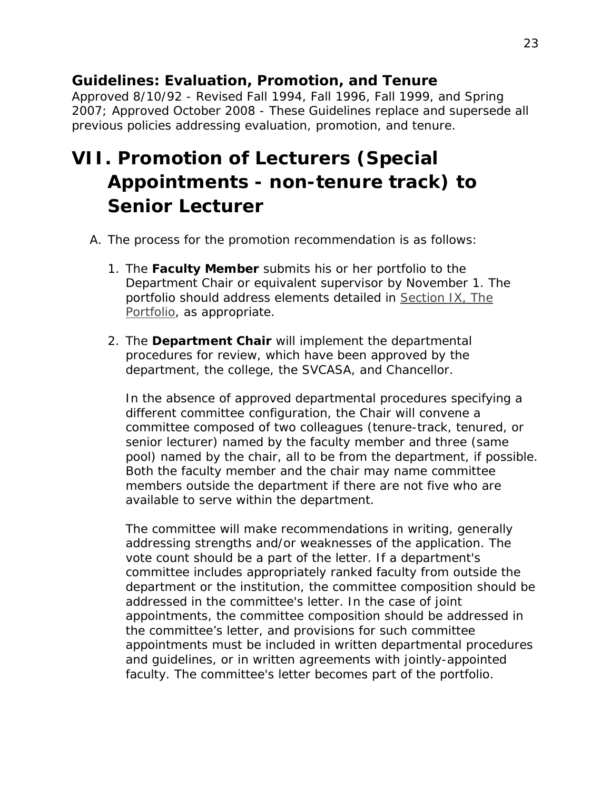*Approved 8/10/92 - Revised Fall 1994, Fall 1996, Fall 1999, and Spring 2007; Approved October 2008 - These Guidelines replace and supersede all previous policies addressing evaluation, promotion, and tenure.*

# <span id="page-22-0"></span>**VII. Promotion of Lecturers (Special Appointments - non-tenure track) to Senior Lecturer**

- A. The process for the promotion recommendation is as follows:
	- 1. The **Faculty Member** submits his or her portfolio to the Department Chair or equivalent supervisor by November 1. The portfolio should address elements detailed in [Section IX, The](#page-33-0)  [Portfolio,](#page-33-0) as appropriate.
	- 2. The **Department Chair** will implement the departmental procedures for review, which have been approved by the department, the college, the SVCASA, and Chancellor.

In the absence of approved departmental procedures specifying a different committee configuration, the Chair will convene a committee composed of two colleagues (tenure-track, tenured, or senior lecturer) named by the faculty member and three (same pool) named by the chair, all to be from the department, if possible. Both the faculty member and the chair may name committee members outside the department if there are not five who are available to serve within the department.

The committee will make recommendations in writing, generally addressing strengths and/or weaknesses of the application. The vote count should be a part of the letter. If a department's committee includes appropriately ranked faculty from outside the department or the institution, the committee composition should be addressed in the committee's letter. In the case of joint appointments, the committee composition should be addressed in the committee's letter, and provisions for such committee appointments must be included in written departmental procedures and guidelines, or in written agreements with jointly-appointed faculty. The committee's letter becomes part of the portfolio.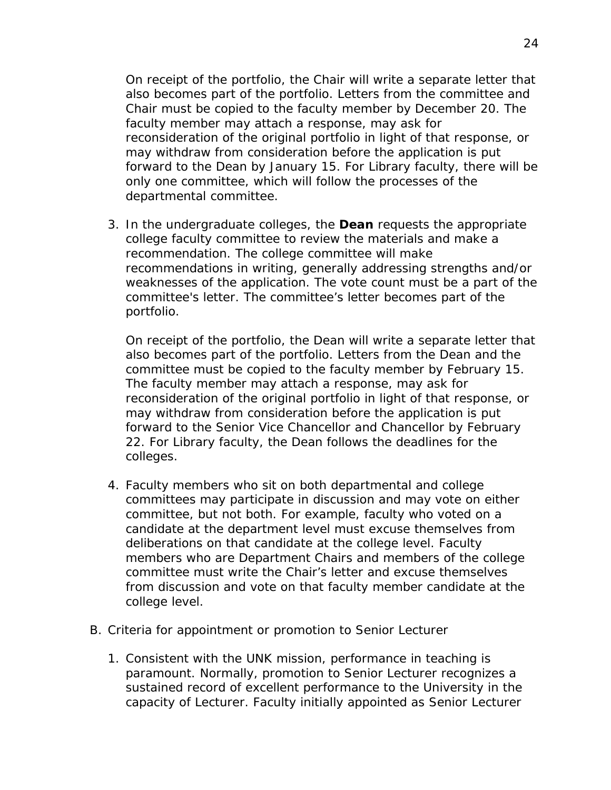On receipt of the portfolio, the Chair will write a separate letter that also becomes part of the portfolio. Letters from the committee and Chair must be copied to the faculty member by December 20. The faculty member may attach a response, may ask for reconsideration of the original portfolio in light of that response, or may withdraw from consideration before the application is put forward to the Dean by January 15. For Library faculty, there will be only one committee, which will follow the processes of the departmental committee.

3. In the undergraduate colleges, the **Dean** requests the appropriate college faculty committee to review the materials and make a recommendation. The college committee will make recommendations in writing, generally addressing strengths and/or weaknesses of the application. The vote count must be a part of the committee's letter. The committee's letter becomes part of the portfolio.

On receipt of the portfolio, the Dean will write a separate letter that also becomes part of the portfolio. Letters from the Dean and the committee must be copied to the faculty member by February 15. The faculty member may attach a response, may ask for reconsideration of the original portfolio in light of that response, or may withdraw from consideration before the application is put forward to the Senior Vice Chancellor and Chancellor by February 22. For Library faculty, the Dean follows the deadlines for the colleges.

- 4. Faculty members who sit on both departmental and college committees may participate in discussion and may vote on either committee, but not both. For example, faculty who voted on a candidate at the department level must excuse themselves from deliberations on that candidate at the college level. Faculty members who are Department Chairs and members of the college committee must write the Chair's letter and excuse themselves from discussion and vote on that faculty member candidate at the college level.
- B. Criteria for appointment or promotion to Senior Lecturer
	- 1. Consistent with the UNK mission, performance in teaching is paramount. Normally, promotion to Senior Lecturer recognizes a sustained record of excellent performance to the University in the capacity of Lecturer. Faculty initially appointed as Senior Lecturer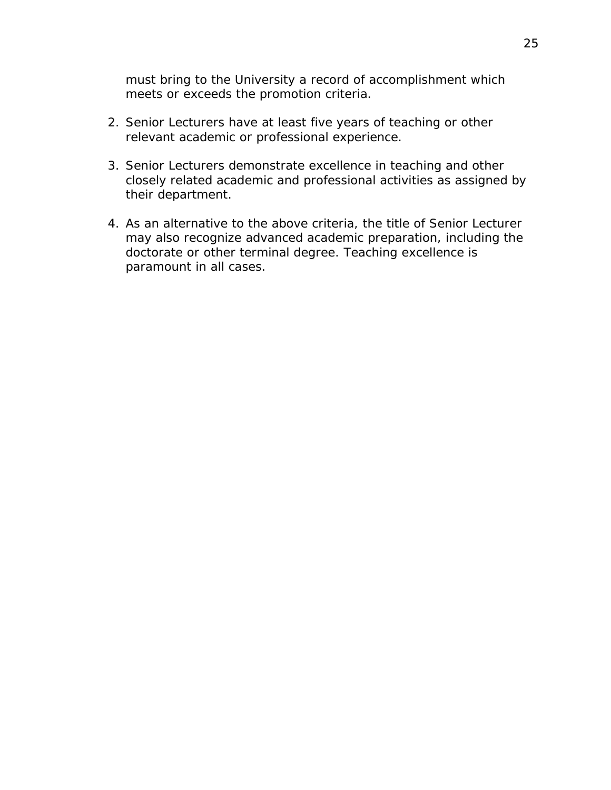must bring to the University a record of accomplishment which meets or exceeds the promotion criteria.

- 2. Senior Lecturers have at least five years of teaching or other relevant academic or professional experience.
- 3. Senior Lecturers demonstrate excellence in teaching and other closely related academic and professional activities as assigned by their department.
- 4. As an alternative to the above criteria, the title of Senior Lecturer may also recognize advanced academic preparation, including the doctorate or other terminal degree. Teaching excellence is paramount in all cases.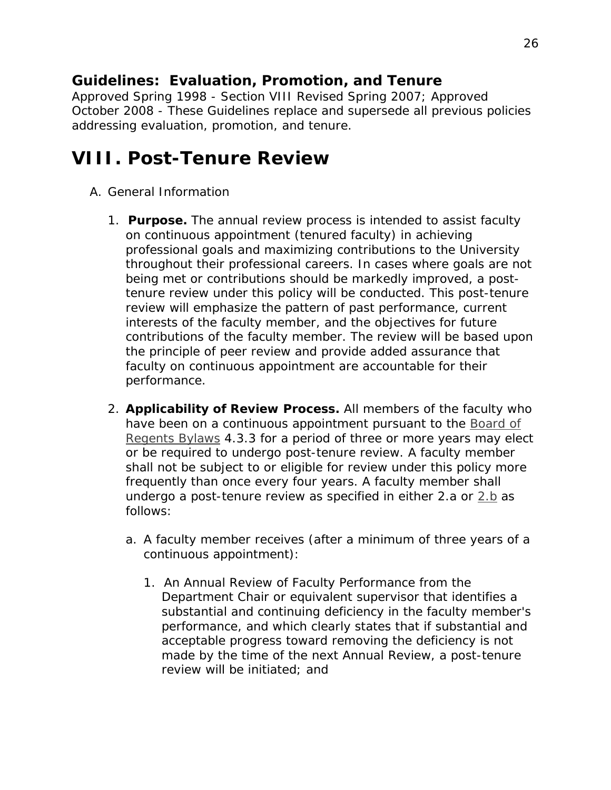*Approved Spring 1998 - Section VIII Revised Spring 2007; Approved October 2008 - These Guidelines replace and supersede all previous policies addressing evaluation, promotion, and tenure.*

## <span id="page-25-0"></span>**VIII. Post-Tenure Review**

- <span id="page-25-1"></span>A. General Information
	- 1. **Purpose.** The annual review process is intended to assist faculty on continuous appointment (tenured faculty) in achieving professional goals and maximizing contributions to the University throughout their professional careers. In cases where goals are not being met or contributions should be markedly improved, a posttenure review under this policy will be conducted. This post-tenure review will emphasize the pattern of past performance, current interests of the faculty member, and the objectives for future contributions of the faculty member. The review will be based upon the principle of peer review and provide added assurance that faculty on continuous appointment are accountable for their performance.
	- 2. **Applicability of Review Process.** All members of the faculty who have been on a continuous appointment pursuant to the *[Board of](http://www.nebraska.edu/board/bylaws-policies-and-rules.html)  [Regents Bylaws](http://www.nebraska.edu/board/bylaws-policies-and-rules.html) 4.3.3* for a period of three or more years may elect or be required to undergo post-tenure review. A faculty member shall not be subject to or eligible for review under this policy more frequently than once every four years. A faculty member shall undergo a post-tenure review as specified in either 2.a or  $2.b$  as follows:
		- a. A faculty member receives (after a minimum of three years of a continuous appointment):
			- 1. An Annual Review of Faculty Performance from the Department Chair or equivalent supervisor that identifies a substantial and continuing deficiency in the faculty member's performance, and which clearly states that if substantial and acceptable progress toward removing the deficiency is not made by the time of the next Annual Review, a post-tenure review will be initiated; and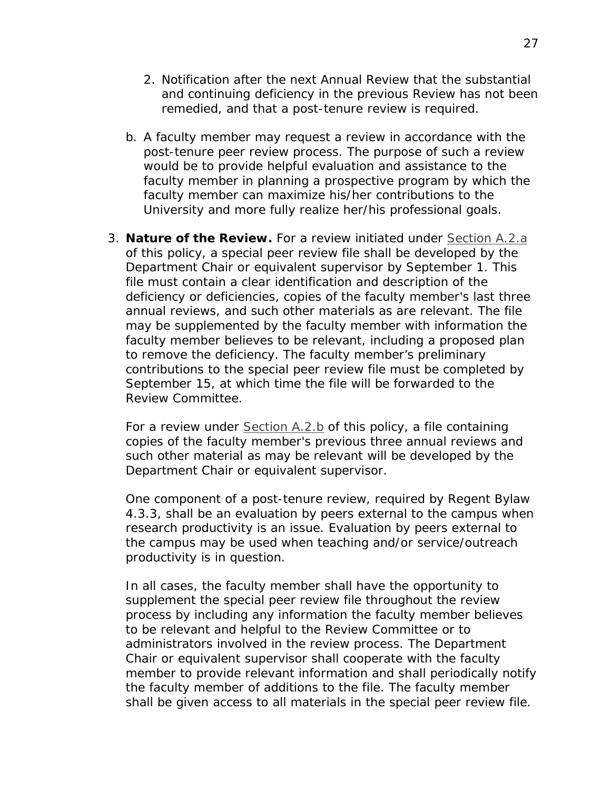- 2. Notification after the next Annual Review that the substantial and continuing deficiency in the previous Review has not been remedied, and that a post-tenure review is required.
- <span id="page-26-0"></span>b. A faculty member may request a review in accordance with the post-tenure peer review process. The purpose of such a review would be to provide helpful evaluation and assistance to the faculty member in planning a prospective program by which the faculty member can maximize his/her contributions to the University and more fully realize her/his professional goals.
- 3. **Nature of the Review.** For a review initiated under [Section A.2.a](#page-25-1) of this policy, a special peer review file shall be developed by the Department Chair or equivalent supervisor by September 1. This file must contain a clear identification and description of the deficiency or deficiencies, copies of the faculty member's last three annual reviews, and such other materials as are relevant. The file may be supplemented by the faculty member with information the faculty member believes to be relevant, including a proposed plan to remove the deficiency. The faculty member's preliminary contributions to the special peer review file must be completed by September 15, at which time the file will be forwarded to the Review Committee.

For a review under [Section A.2.b](#page-26-0) of this policy, a file containing copies of the faculty member's previous three annual reviews and such other material as may be relevant will be developed by the Department Chair or equivalent supervisor.

One component of a post-tenure review, required by *Regent Bylaw 4.3.3*, shall be an evaluation by peers external to the campus when research productivity is an issue. Evaluation by peers external to the campus may be used when teaching and/or service/outreach productivity is in question.

In all cases, the faculty member shall have the opportunity to supplement the special peer review file throughout the review process by including any information the faculty member believes to be relevant and helpful to the Review Committee or to administrators involved in the review process. The Department Chair or equivalent supervisor shall cooperate with the faculty member to provide relevant information and shall periodically notify the faculty member of additions to the file. The faculty member shall be given access to all materials in the special peer review file.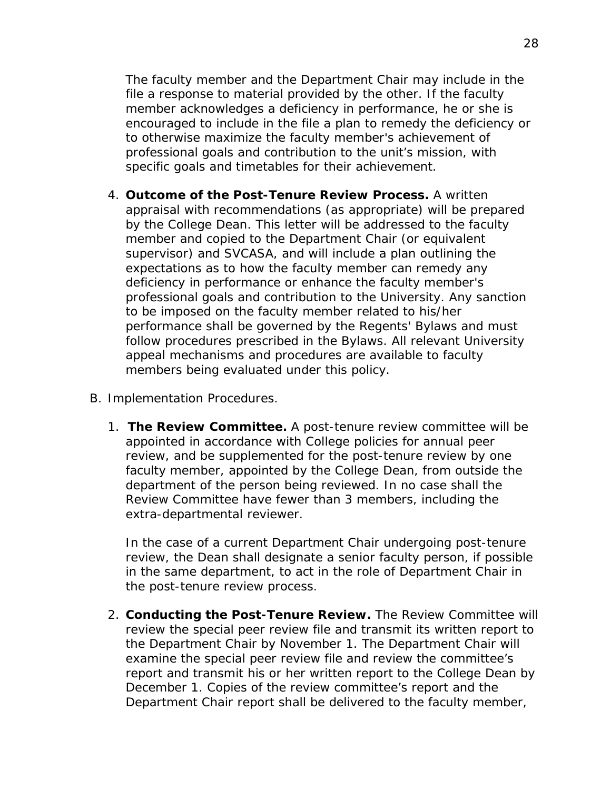The faculty member and the Department Chair may include in the file a response to material provided by the other. If the faculty member acknowledges a deficiency in performance, he or she is encouraged to include in the file a plan to remedy the deficiency or to otherwise maximize the faculty member's achievement of professional goals and contribution to the unit's mission, with specific goals and timetables for their achievement.

- 4. **Outcome of the Post-Tenure Review Process.** A written appraisal with recommendations (as appropriate) will be prepared by the College Dean. This letter will be addressed to the faculty member and copied to the Department Chair (or equivalent supervisor) and SVCASA, and will include a plan outlining the expectations as to how the faculty member can remedy any deficiency in performance or enhance the faculty member's professional goals and contribution to the University. Any sanction to be imposed on the faculty member related to his/her performance shall be governed by the *Regents' Bylaws* and must follow procedures prescribed in the *Bylaws*. All relevant University appeal mechanisms and procedures are available to faculty members being evaluated under this policy.
- B. Implementation Procedures.
	- 1. **The Review Committee.** A post-tenure review committee will be appointed in accordance with College policies for annual peer review, and be supplemented for the post-tenure review by one faculty member, appointed by the College Dean, from outside the department of the person being reviewed. In no case shall the Review Committee have fewer than 3 members, including the extra-departmental reviewer.

In the case of a current Department Chair undergoing post-tenure review, the Dean shall designate a senior faculty person, if possible in the same department, to act in the role of Department Chair in the post-tenure review process.

2. **Conducting the Post-Tenure Review.** The Review Committee will review the special peer review file and transmit its written report to the Department Chair by November 1. The Department Chair will examine the special peer review file and review the committee's report and transmit his or her written report to the College Dean by December 1. Copies of the review committee's report and the Department Chair report shall be delivered to the faculty member,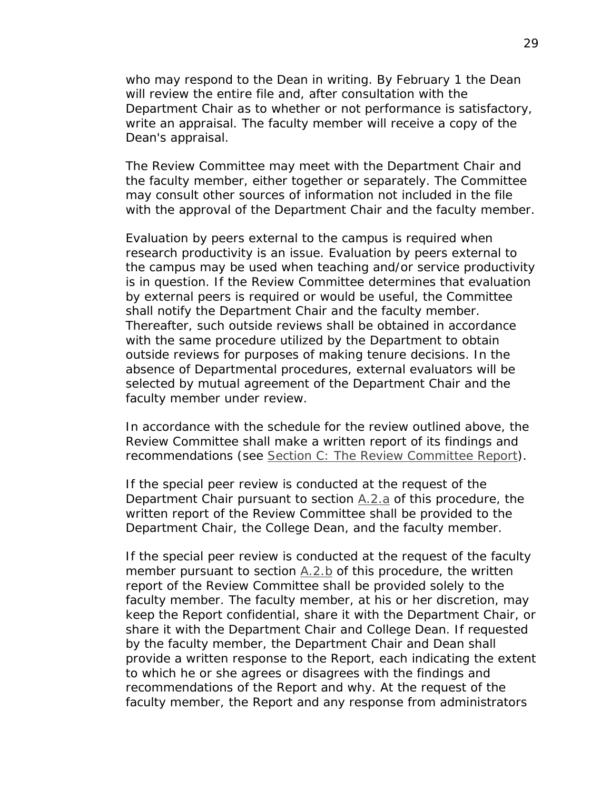who may respond to the Dean in writing. By February 1 the Dean will review the entire file and, after consultation with the Department Chair as to whether or not performance is satisfactory, write an appraisal. The faculty member will receive a copy of the Dean's appraisal.

The Review Committee may meet with the Department Chair and the faculty member, either together or separately. The Committee may consult other sources of information not included in the file with the approval of the Department Chair and the faculty member.

Evaluation by peers external to the campus is required when research productivity is an issue. Evaluation by peers external to the campus may be used when teaching and/or service productivity is in question. If the Review Committee determines that evaluation by external peers is required or would be useful, the Committee shall notify the Department Chair and the faculty member. Thereafter, such outside reviews shall be obtained in accordance with the same procedure utilized by the Department to obtain outside reviews for purposes of making tenure decisions. In the absence of Departmental procedures, external evaluators will be selected by mutual agreement of the Department Chair and the faculty member under review.

In accordance with the schedule for the review outlined above, the Review Committee shall make a written report of its findings and recommendations (see [Section C: The Review Committee Report\)](#page-29-0).

If the special peer review is conducted at the request of the Department Chair pursuant to section [A.2.a](#page-25-1) of this procedure, the written report of the Review Committee shall be provided to the Department Chair, the College Dean, and the faculty member.

If the special peer review is conducted at the request of the faculty member pursuant to section  $A.2.b$  of this procedure, the written report of the Review Committee shall be provided solely to the faculty member. The faculty member, at his or her discretion, may keep the Report confidential, share it with the Department Chair, or share it with the Department Chair and College Dean. If requested by the faculty member, the Department Chair and Dean shall provide a written response to the Report, each indicating the extent to which he or she agrees or disagrees with the findings and recommendations of the Report and why. At the request of the faculty member, the Report and any response from administrators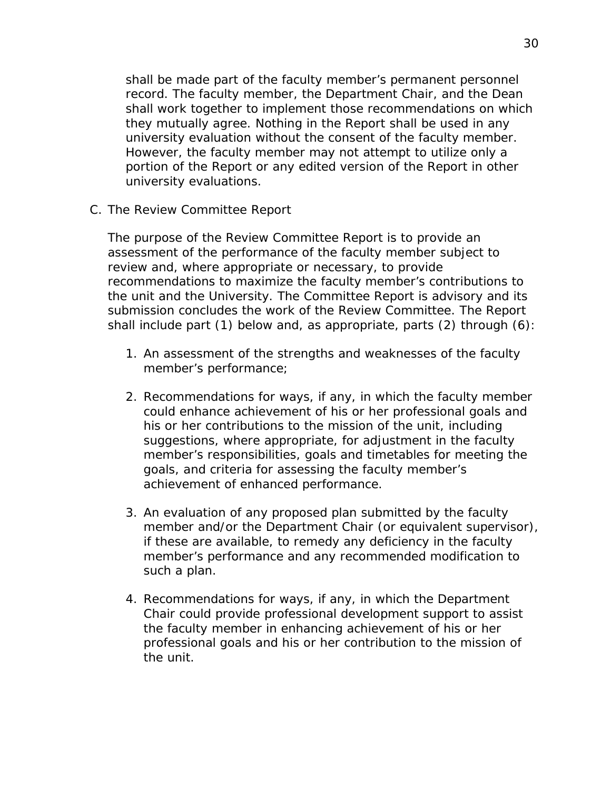shall be made part of the faculty member's permanent personnel record. The faculty member, the Department Chair, and the Dean shall work together to implement those recommendations on which they mutually agree. Nothing in the Report shall be used in any university evaluation without the consent of the faculty member. However, the faculty member may not attempt to utilize only a portion of the Report or any edited version of the Report in other university evaluations.

<span id="page-29-0"></span>C. The Review Committee Report

The purpose of the Review Committee Report is to provide an assessment of the performance of the faculty member subject to review and, where appropriate or necessary, to provide recommendations to maximize the faculty member's contributions to the unit and the University. The Committee Report is advisory and its submission concludes the work of the Review Committee. The Report shall include part (1) below and, as appropriate, parts (2) through (6):

- 1. An assessment of the strengths and weaknesses of the faculty member's performance;
- 2. Recommendations for ways, if any, in which the faculty member could enhance achievement of his or her professional goals and his or her contributions to the mission of the unit, including suggestions, where appropriate, for adjustment in the faculty member's responsibilities, goals and timetables for meeting the goals, and criteria for assessing the faculty member's achievement of enhanced performance.
- 3. An evaluation of any proposed plan submitted by the faculty member and/or the Department Chair (or equivalent supervisor), if these are available, to remedy any deficiency in the faculty member's performance and any recommended modification to such a plan.
- 4. Recommendations for ways, if any, in which the Department Chair could provide professional development support to assist the faculty member in enhancing achievement of his or her professional goals and his or her contribution to the mission of the unit.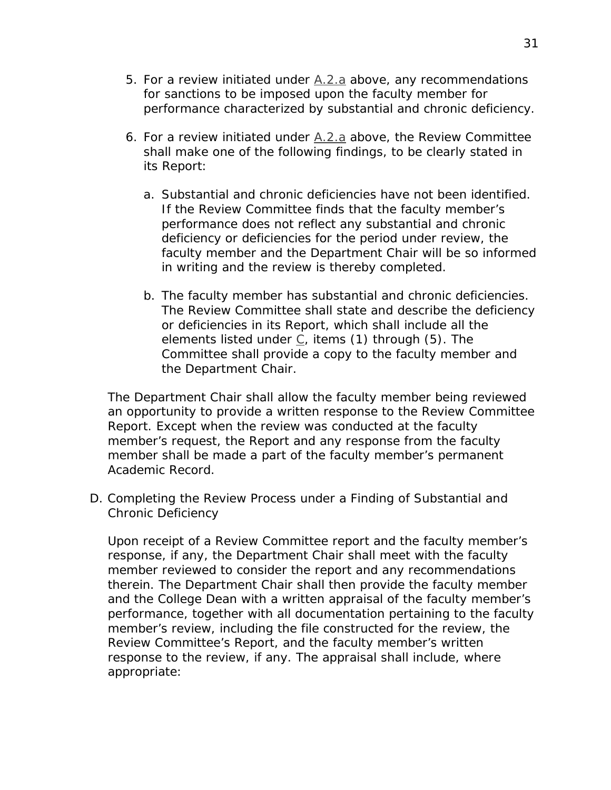- 5. For a review initiated under [A.2.a](#page-25-1) above, any recommendations for sanctions to be imposed upon the faculty member for performance characterized by substantial and chronic deficiency.
- 6. For a review initiated under [A.2.a](#page-25-1) above, the Review Committee shall make one of the following findings, to be clearly stated in its Report:
	- a. Substantial and chronic deficiencies have not been identified. If the Review Committee finds that the faculty member's performance does not reflect any substantial and chronic deficiency or deficiencies for the period under review, the faculty member and the Department Chair will be so informed in writing and the review is thereby completed.
	- b. The faculty member has substantial and chronic deficiencies. The Review Committee shall state and describe the deficiency or deficiencies in its Report, which shall include all the elements listed under  $C_i$ , items (1) through (5). The Committee shall provide a copy to the faculty member and the Department Chair.

The Department Chair shall allow the faculty member being reviewed an opportunity to provide a written response to the Review Committee Report. Except when the review was conducted at the faculty member's request, the Report and any response from the faculty member shall be made a part of the faculty member's permanent Academic Record.

D. Completing the Review Process under a Finding of Substantial and Chronic Deficiency

Upon receipt of a Review Committee report and the faculty member's response, if any, the Department Chair shall meet with the faculty member reviewed to consider the report and any recommendations therein. The Department Chair shall then provide the faculty member and the College Dean with a written appraisal of the faculty member's performance, together with all documentation pertaining to the faculty member's review, including the file constructed for the review, the Review Committee's Report, and the faculty member's written response to the review, if any. The appraisal shall include, where appropriate: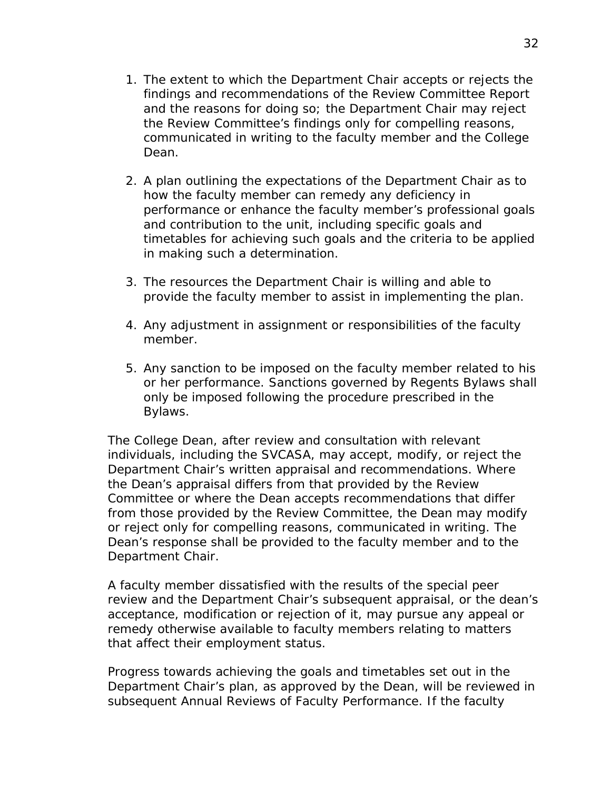- 1. The extent to which the Department Chair accepts or rejects the findings and recommendations of the Review Committee Report and the reasons for doing so; the Department Chair may reject the Review Committee's findings only for compelling reasons, communicated in writing to the faculty member and the College Dean.
- 2. A plan outlining the expectations of the Department Chair as to how the faculty member can remedy any deficiency in performance or enhance the faculty member's professional goals and contribution to the unit, including specific goals and timetables for achieving such goals and the criteria to be applied in making such a determination.
- 3. The resources the Department Chair is willing and able to provide the faculty member to assist in implementing the plan.
- 4. Any adjustment in assignment or responsibilities of the faculty member.
- 5. Any sanction to be imposed on the faculty member related to his or her performance. Sanctions governed by *Regents Bylaws* shall only be imposed following the procedure prescribed in the *Bylaws*.

The College Dean, after review and consultation with relevant individuals, including the SVCASA, may accept, modify, or reject the Department Chair's written appraisal and recommendations. Where the Dean's appraisal differs from that provided by the Review Committee or where the Dean accepts recommendations that differ from those provided by the Review Committee, the Dean may modify or reject only for compelling reasons, communicated in writing. The Dean's response shall be provided to the faculty member and to the Department Chair.

A faculty member dissatisfied with the results of the special peer review and the Department Chair's subsequent appraisal, or the dean's acceptance, modification or rejection of it, may pursue any appeal or remedy otherwise available to faculty members relating to matters that affect their employment status.

Progress towards achieving the goals and timetables set out in the Department Chair's plan, as approved by the Dean, will be reviewed in subsequent Annual Reviews of Faculty Performance. If the faculty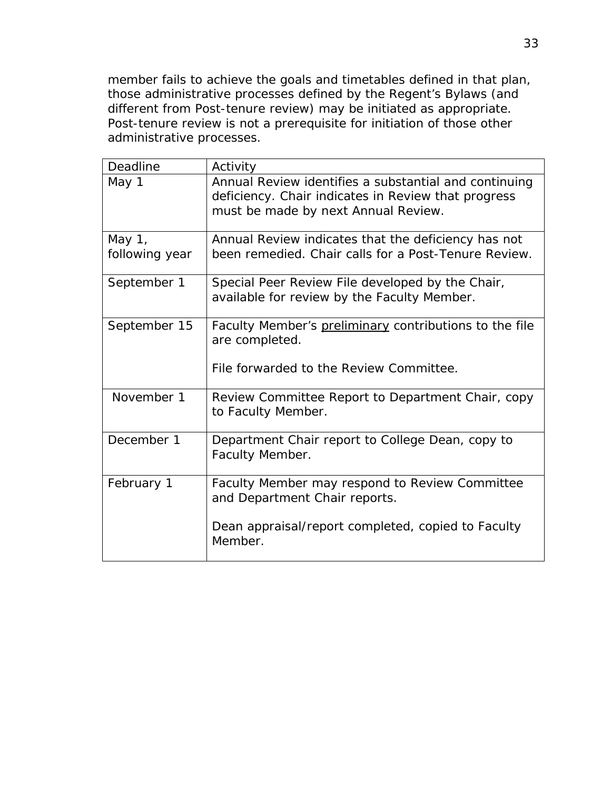member fails to achieve the goals and timetables defined in that plan, those administrative processes defined by the Regent's *Bylaws* (and different from Post-tenure review) may be initiated as appropriate. Post-tenure review is not a prerequisite for initiation of those other administrative processes.

| Deadline                 | Activity                                                                                                                                            |
|--------------------------|-----------------------------------------------------------------------------------------------------------------------------------------------------|
| May 1                    | Annual Review identifies a substantial and continuing<br>deficiency. Chair indicates in Review that progress<br>must be made by next Annual Review. |
| May 1,<br>following year | Annual Review indicates that the deficiency has not<br>been remedied. Chair calls for a Post-Tenure Review.                                         |
| September 1              | Special Peer Review File developed by the Chair,<br>available for review by the Faculty Member.                                                     |
| September 15             | Faculty Member's preliminary contributions to the file<br>are completed.<br>File forwarded to the Review Committee.                                 |
| November 1               | Review Committee Report to Department Chair, copy<br>to Faculty Member.                                                                             |
| December 1               | Department Chair report to College Dean, copy to<br>Faculty Member.                                                                                 |
| February 1               | Faculty Member may respond to Review Committee<br>and Department Chair reports.<br>Dean appraisal/report completed, copied to Faculty<br>Member.    |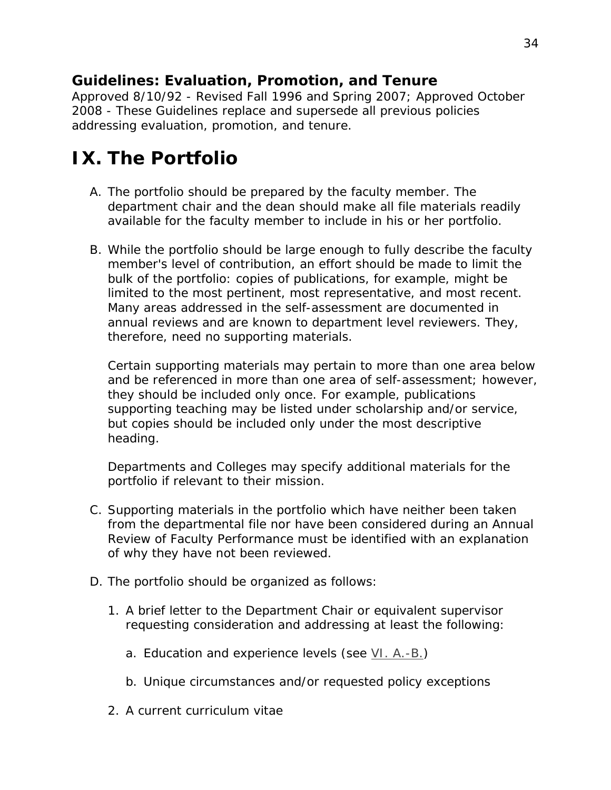*Approved 8/10/92 - Revised Fall 1996 and Spring 2007; Approved October 2008 - These Guidelines replace and supersede all previous policies addressing evaluation, promotion, and tenure.*

# <span id="page-33-0"></span>**IX. The Portfolio**

- A. The portfolio should be prepared by the faculty member. The department chair and the dean should make all file materials readily available for the faculty member to include in his or her portfolio.
- B. While the portfolio should be large enough to fully describe the faculty member's level of contribution, an effort should be made to limit the bulk of the portfolio: copies of publications, for example, might be limited to the most pertinent, most representative, and most recent. Many areas addressed in the self-assessment are documented in annual reviews and are known to department level reviewers. They, therefore, need no supporting materials.

Certain supporting materials may pertain to more than one area below and be referenced in more than one area of self-assessment; however, they should be included only once. For example, publications supporting teaching may be listed under scholarship and/or service, but copies should be included only under the most descriptive heading.

Departments and Colleges may specify additional materials for the portfolio if relevant to their mission.

- C. Supporting materials in the portfolio which have neither been taken from the departmental file nor have been considered during an Annual Review of Faculty Performance must be identified with an explanation of why they have not been reviewed.
- D. The portfolio should be organized as follows:
	- 1. A brief letter to the Department Chair or equivalent supervisor requesting consideration and addressing at least the following:
		- a. Education and experience levels (see  $VI. A.-B.$ )
		- b. Unique circumstances and/or requested policy exceptions
	- 2. A current curriculum vitae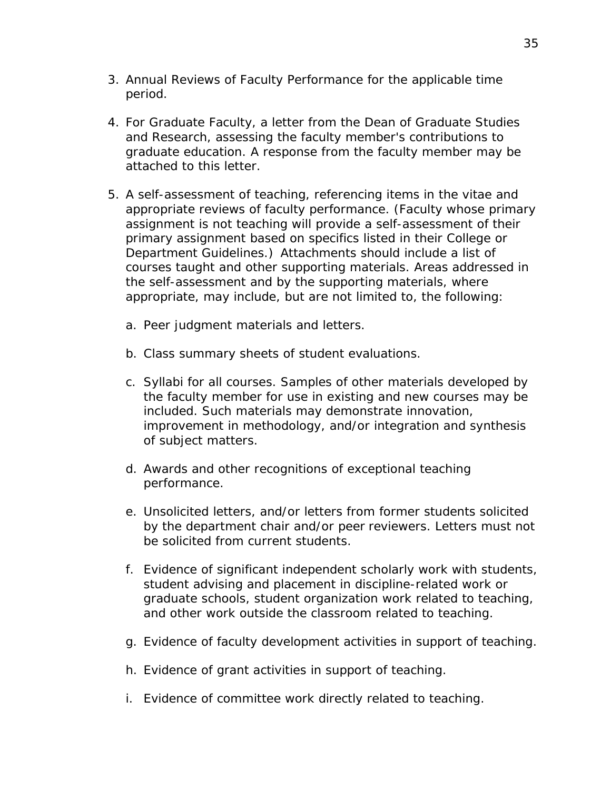- 3. Annual Reviews of Faculty Performance for the applicable time period.
- 4. For Graduate Faculty, a letter from the Dean of Graduate Studies and Research, assessing the faculty member's contributions to graduate education. A response from the faculty member may be attached to this letter.
- 5. A self-assessment of teaching, referencing items in the vitae and appropriate reviews of faculty performance. (Faculty whose primary assignment is not teaching will provide a self-assessment of their primary assignment based on specifics listed in their College or Department Guidelines.) Attachments should include a list of courses taught and other supporting materials. Areas addressed in the self-assessment and by the supporting materials, where appropriate, may include, but are not limited to, the following:
	- a. Peer judgment materials and letters.
	- b. Class summary sheets of student evaluations.
	- c. Syllabi for all courses. Samples of other materials developed by the faculty member for use in existing and new courses may be included. Such materials may demonstrate innovation, improvement in methodology, and/or integration and synthesis of subject matters.
	- d. Awards and other recognitions of exceptional teaching performance.
	- e. Unsolicited letters, and/or letters from former students solicited by the department chair and/or peer reviewers. Letters must not be solicited from current students.
	- f. Evidence of significant independent scholarly work with students, student advising and placement in discipline-related work or graduate schools, student organization work related to teaching, and other work outside the classroom related to teaching.
	- g. Evidence of faculty development activities in support of teaching.
	- h. Evidence of grant activities in support of teaching.
	- i. Evidence of committee work directly related to teaching.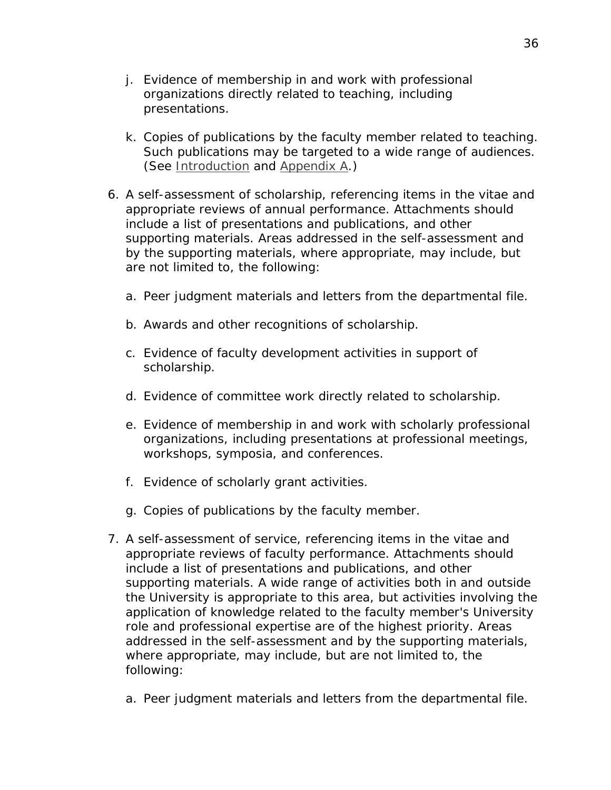- j. Evidence of membership in and work with professional organizations directly related to teaching, including presentations.
- k. Copies of publications by the faculty member related to teaching. Such publications may be targeted to a wide range of audiences. (See [Introduction](#page-1-0) and [Appendix A.](http://www.unk.edu/academic_affairs/_files/faculty_handbook/rt-appendix-a.pdf))
- 6. A self-assessment of scholarship, referencing items in the vitae and appropriate reviews of annual performance. Attachments should include a list of presentations and publications, and other supporting materials. Areas addressed in the self-assessment and by the supporting materials, where appropriate, may include, but are not limited to, the following:
	- a. Peer judgment materials and letters from the departmental file.
	- b. Awards and other recognitions of scholarship.
	- c. Evidence of faculty development activities in support of scholarship.
	- d. Evidence of committee work directly related to scholarship.
	- e. Evidence of membership in and work with scholarly professional organizations, including presentations at professional meetings, workshops, symposia, and conferences.
	- f. Evidence of scholarly grant activities.
	- g. Copies of publications by the faculty member.
- 7. A self-assessment of service, referencing items in the vitae and appropriate reviews of faculty performance. Attachments should include a list of presentations and publications, and other supporting materials. A wide range of activities both in and outside the University is appropriate to this area, but activities involving the application of knowledge related to the faculty member's University role and professional expertise are of the highest priority. Areas addressed in the self-assessment and by the supporting materials, where appropriate, may include, but are not limited to, the following:
	- a. Peer judgment materials and letters from the departmental file.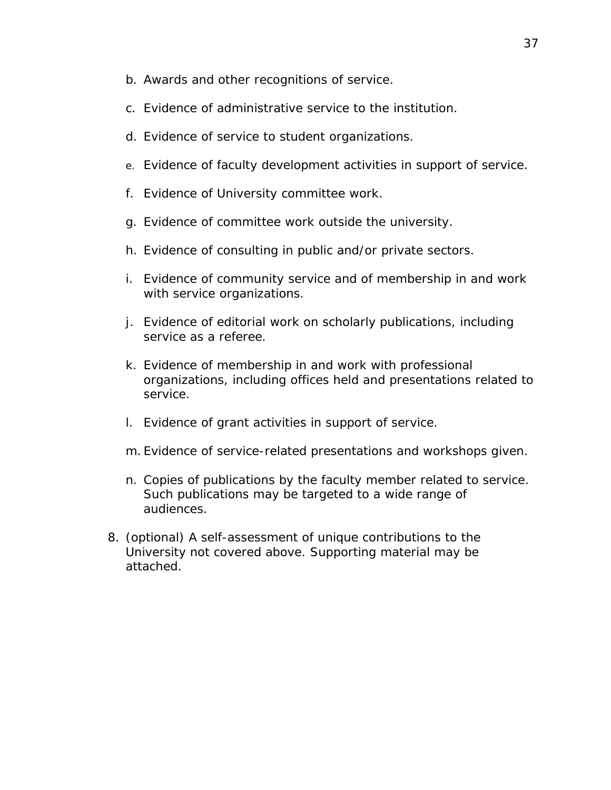- b. Awards and other recognitions of service.
- c. Evidence of administrative service to the institution.
- d. Evidence of service to student organizations.
- e. Evidence of faculty development activities in support of service.
- f. Evidence of University committee work.
- g. Evidence of committee work outside the university.
- h. Evidence of consulting in public and/or private sectors.
- i. Evidence of community service and of membership in and work with service organizations.
- j. Evidence of editorial work on scholarly publications, including service as a referee.
- k. Evidence of membership in and work with professional organizations, including offices held and presentations related to service.
- l. Evidence of grant activities in support of service.
- m. Evidence of service-related presentations and workshops given.
- n. Copies of publications by the faculty member related to service. Such publications may be targeted to a wide range of audiences.
- 8. (optional) A self-assessment of unique contributions to the University not covered above. Supporting material may be attached.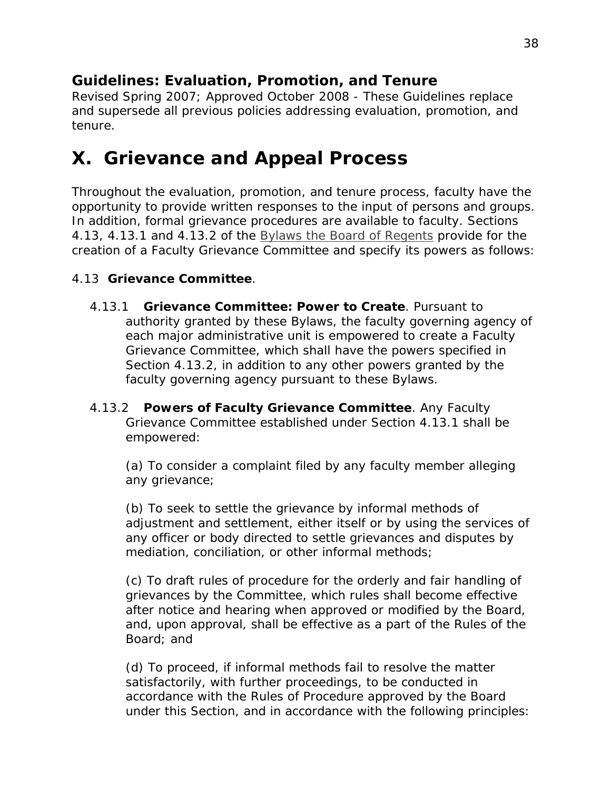*Revised Spring 2007; Approved October 2008 - These Guidelines replace and supersede all previous policies addressing evaluation, promotion, and tenure.*

### <span id="page-37-0"></span>**X. Grievance and Appeal Process**

Throughout the evaluation, promotion, and tenure process, faculty have the opportunity to provide written responses to the input of persons and groups. In addition, formal grievance procedures are available to faculty. Sections *4.13, 4.13.1* and *4.13.2* of the *[Bylaws the Board of Regents](http://www.nebraska.edu/board/bylaws-policies-and-rules.html)* provide for the creation of a Faculty Grievance Committee and specify its powers as follows:

#### 4.13 **Grievance Committee**.

- 4.13.1 **Grievance Committee: Power to Create**. Pursuant to authority granted by these Bylaws, the faculty governing agency of each major administrative unit is empowered to create a Faculty Grievance Committee, which shall have the powers specified in *Section 4.13.2*, in addition to any other powers granted by the faculty governing agency pursuant to these Bylaws.
- 4.13.2 **Powers of Faculty Grievance Committee**. Any Faculty Grievance Committee established under *Section 4.13.1* shall be empowered:

(a) To consider a complaint filed by any faculty member alleging any grievance;

(b) To seek to settle the grievance by informal methods of adjustment and settlement, either itself or by using the services of any officer or body directed to settle grievances and disputes by mediation, conciliation, or other informal methods;

(c) To draft rules of procedure for the orderly and fair handling of grievances by the Committee, which rules shall become effective after notice and hearing when approved or modified by the Board, and, upon approval, shall be effective as a part of the Rules of the Board; and

(d) To proceed, if informal methods fail to resolve the matter satisfactorily, with further proceedings, to be conducted in accordance with the Rules of Procedure approved by the Board under this Section, and in accordance with the following principles: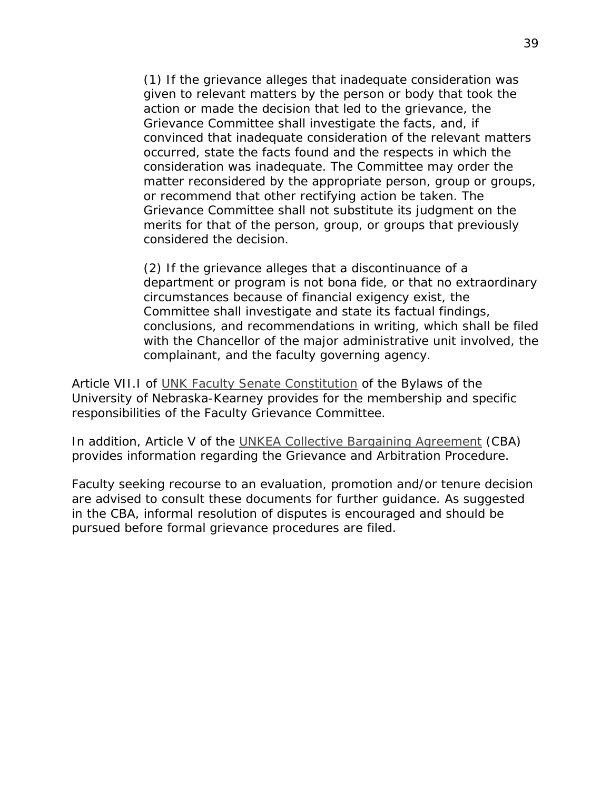(1) If the grievance alleges that inadequate consideration was given to relevant matters by the person or body that took the action or made the decision that led to the grievance, the Grievance Committee shall investigate the facts, and, if convinced that inadequate consideration of the relevant matters occurred, state the facts found and the respects in which the consideration was inadequate. The Committee may order the matter reconsidered by the appropriate person, group or groups, or recommend that other rectifying action be taken. The Grievance Committee shall not substitute its judgment on the merits for that of the person, group, or groups that previously considered the decision.

(2) If the grievance alleges that a discontinuance of a department or program is not bona fide, or that no extraordinary circumstances because of financial exigency exist, the Committee shall investigate and state its factual findings, conclusions, and recommendations in writing, which shall be filed with the Chancellor of the major administrative unit involved, the complainant, and the faculty governing agency.

Article VII.I of [UNK Faculty Senate Constitution](http://www.unk.edu/committees/facultysenate/index.php?id=169) of the Bylaws of the University of Nebraska-Kearney provides for the membership and specific responsibilities of the Faculty Grievance Committee.

In addition, Article V of the [UNKEA Collective Bargaining Agreement](www.unk.edu/academic_affairs/_files/faculty_handbook/cba_1719.pdf) (CBA) provides information regarding the Grievance and Arbitration Procedure.

Faculty seeking recourse to an evaluation, promotion and/or tenure decision are advised to consult these documents for further guidance. As suggested in the CBA, informal resolution of disputes is encouraged and should be pursued before formal grievance procedures are filed.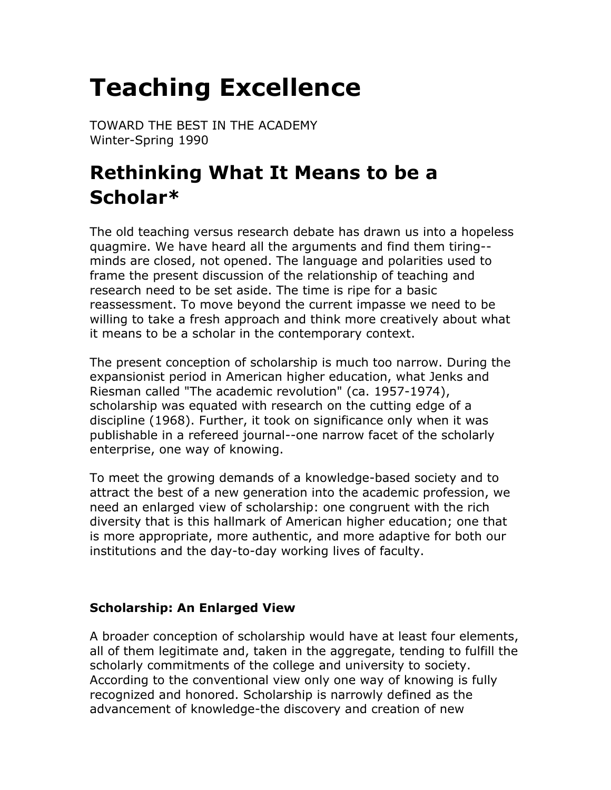# **Teaching Excellence**

TOWARD THE BEST IN THE ACADEMY Winter-Spring 1990

# **Rethinking What It Means to be a Scholar\***

The old teaching versus research debate has drawn us into a hopeless quagmire. We have heard all the arguments and find them tiring- minds are closed, not opened. The language and polarities used to frame the present discussion of the relationship of teaching and research need to be set aside. The time is ripe for a basic reassessment. To move beyond the current impasse we need to be willing to take a fresh approach and think more creatively about what it means to be a scholar in the contemporary context.

The present conception of scholarship is much too narrow. During the expansionist period in American higher education, what Jenks and Riesman called "The academic revolution" (ca. 1957-1974), scholarship was equated with research on the cutting edge of a discipline (1968). Further, it took on significance only when it was publishable in a refereed journal--one narrow facet of the scholarly enterprise, one way of knowing.

To meet the growing demands of a knowledge-based society and to attract the best of a new generation into the academic profession, we need an enlarged view of scholarship: one congruent with the rich diversity that is this hallmark of American higher education; one that is more appropriate, more authentic, and more adaptive for both our institutions and the day-to-day working lives of faculty.

#### **Scholarship: An Enlarged View**

A broader conception of scholarship would have at least four elements, all of them legitimate and, taken in the aggregate, tending to fulfill the scholarly commitments of the college and university to society. According to the conventional view only one way of knowing is fully recognized and honored. Scholarship is narrowly defined as the advancement of knowledge-the discovery and creation of new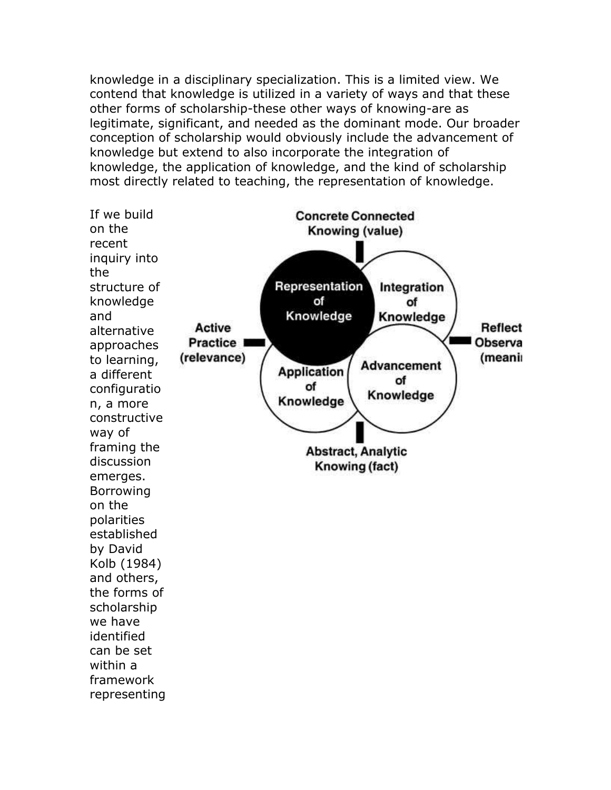knowledge in a disciplinary specialization. This is a limited view. We contend that knowledge is utilized in a variety of ways and that these other forms of scholarship-these other ways of knowing-are as legitimate, significant, and needed as the dominant mode. Our broader conception of scholarship would obviously include the advancement of knowledge but extend to also incorporate the integration of knowledge, the application of knowledge, and the kind of scholarship most directly related to teaching, the representation of knowledge.

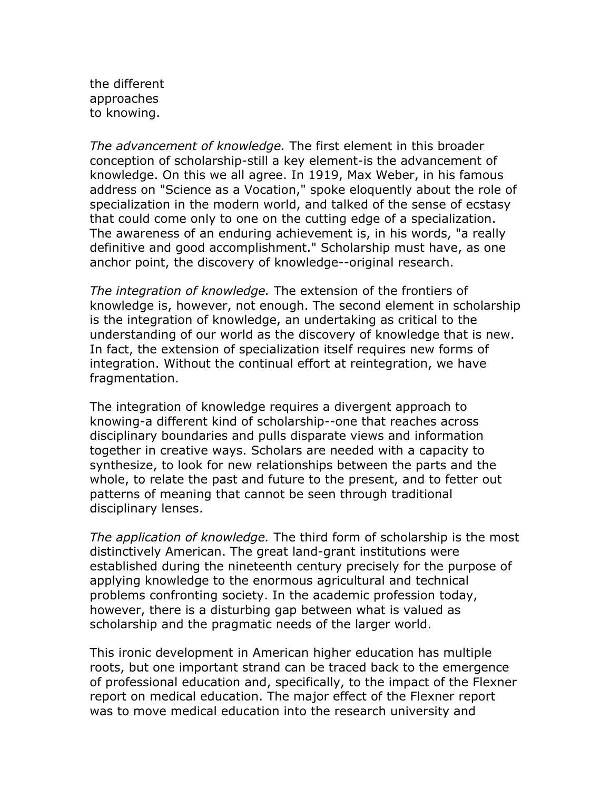the different approaches to knowing.

*The advancement of knowledge.* The first element in this broader conception of scholarship-still a key element-is the advancement of knowledge. On this we all agree. In 1919, Max Weber, in his famous address on "Science as a Vocation," spoke eloquently about the role of specialization in the modern world, and talked of the sense of ecstasy that could come only to one on the cutting edge of a specialization. The awareness of an enduring achievement is, in his words, "a really definitive and good accomplishment." Scholarship must have, as one anchor point, the discovery of knowledge--original research.

*The integration of knowledge.* The extension of the frontiers of knowledge is, however, not enough. The second element in scholarship is the integration of knowledge, an undertaking as critical to the understanding of our world as the discovery of knowledge that is new. In fact, the extension of specialization itself requires new forms of integration. Without the continual effort at reintegration, we have fragmentation.

The integration of knowledge requires a divergent approach to knowing-a different kind of scholarship--one that reaches across disciplinary boundaries and pulls disparate views and information together in creative ways. Scholars are needed with a capacity to synthesize, to look for new relationships between the parts and the whole, to relate the past and future to the present, and to fetter out patterns of meaning that cannot be seen through traditional disciplinary lenses.

*The application of knowledge.* The third form of scholarship is the most distinctively American. The great land-grant institutions were established during the nineteenth century precisely for the purpose of applying knowledge to the enormous agricultural and technical problems confronting society. In the academic profession today, however, there is a disturbing gap between what is valued as scholarship and the pragmatic needs of the larger world.

This ironic development in American higher education has multiple roots, but one important strand can be traced back to the emergence of professional education and, specifically, to the impact of the Flexner report on medical education. The major effect of the Flexner report was to move medical education into the research university and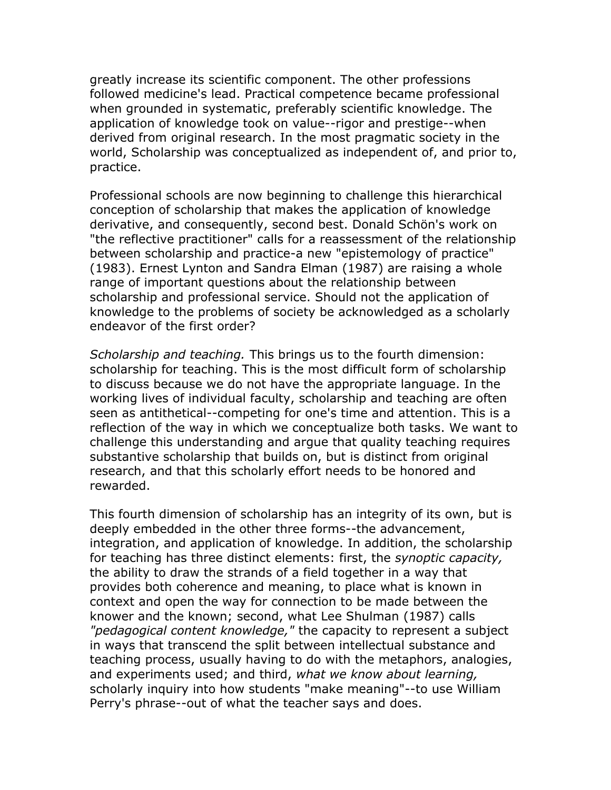greatly increase its scientific component. The other professions followed medicine's lead. Practical competence became professional when grounded in systematic, preferably scientific knowledge. The application of knowledge took on value--rigor and prestige--when derived from original research. In the most pragmatic society in the world, Scholarship was conceptualized as independent of, and prior to, practice.

Professional schools are now beginning to challenge this hierarchical conception of scholarship that makes the application of knowledge derivative, and consequently, second best. Donald Schön's work on "the reflective practitioner" calls for a reassessment of the relationship between scholarship and practice-a new "epistemology of practice" (1983). Ernest Lynton and Sandra Elman (1987) are raising a whole range of important questions about the relationship between scholarship and professional service. Should not the application of knowledge to the problems of society be acknowledged as a scholarly endeavor of the first order?

*Scholarship and teaching.* This brings us to the fourth dimension: scholarship for teaching. This is the most difficult form of scholarship to discuss because we do not have the appropriate language. In the working lives of individual faculty, scholarship and teaching are often seen as antithetical--competing for one's time and attention. This is a reflection of the way in which we conceptualize both tasks. We want to challenge this understanding and argue that quality teaching requires substantive scholarship that builds on, but is distinct from original research, and that this scholarly effort needs to be honored and rewarded.

This fourth dimension of scholarship has an integrity of its own, but is deeply embedded in the other three forms--the advancement, integration, and application of knowledge. In addition, the scholarship for teaching has three distinct elements: first, the *synoptic capacity,* the ability to draw the strands of a field together in a way that provides both coherence and meaning, to place what is known in context and open the way for connection to be made between the knower and the known; second, what Lee Shulman (1987) calls *"pedagogical content knowledge,"* the capacity to represent a subject in ways that transcend the split between intellectual substance and teaching process, usually having to do with the metaphors, analogies, and experiments used; and third, *what we know about learning,* scholarly inquiry into how students "make meaning"--to use William Perry's phrase--out of what the teacher says and does.